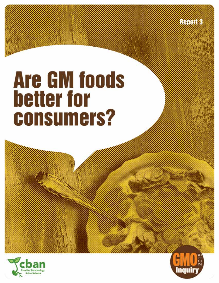**Report 3** 

# **Are GM foods** better for **consumers?**



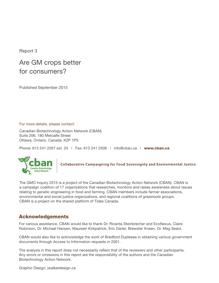Report 3

## Are GM crops better for consumers?

Published September 2015

For more details, please contact:

Canadian Biotechnology Action Network (CBAN) Suite 206, 180 Metcalfe Street Ottawa, Ontario, Canada, K2P 1P5

Phone: 613 241 2267 ext. 25 | Fax: 613 241 2506 | info@cban.ca | [www.cban.ca](http://www.cban.ca�)



Collaborative Campaigning for Food Sovereignty and Environmental Justice

The GMO Inquiry 2015 is a project of the Canadian Biotechnology Action Network (CBAN). CBAN is a campaign coalition of 17 organizations that researches, monitors and raises awareness about issues relating to genetic engineering in food and farming. CBAN members include farmer associations, environmental and social justice organizations, and regional coalitions of grassroots groups. CBAN is a project on the shared platform of Tides Canada.

## Acknowledgements

For various assistance, CBAN would like to thank Dr. Ricarda Steinbrecher and EcoNexus, Claire Robinson, Dr. Michael Hansen, Maureen Kirkpatrick, Eric Darier, Brewster Kneen, Dr. Meg Sears.

CBAN would also like to acknowledge the work of Bradford Duplesea in obtaining various government documents through Access to Information requests in 2001.

The analysis in this report does not necessarily reflect that of the reviewers and other participants. Any errors or omissions in this report are the responsibility of the authors and the Canadian Biotechnology Action Network.

Graphic Design: [jwalkerdesign.ca](http://www.jwalkerdesign.ca)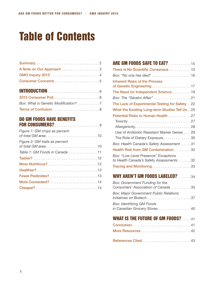# Table of Contents

| A Note on Our Approach 3 |
|--------------------------|
| GMO Inquiry 2015 4       |
|                          |
|                          |
|                          |
|                          |
|                          |

Terms of Confusion. 8

#### Do GM foods have benefits for consumers?. 9

| Figure 1: GM crops as percent  |
|--------------------------------|
| Figure 2: GM traits as percent |
| Table 1: GM Foods in Canada 11 |
|                                |
|                                |
|                                |
| Fewer Pesticides?13            |
| More Convenient?14             |
|                                |

| <b>ARE GM FOODS SAFE TO EAT?15</b>                                               |
|----------------------------------------------------------------------------------|
| There is No Scientific Consensus 15                                              |
| Box: "No one has died" 16                                                        |
| <b>Inherent Risks of the Process</b><br>of Genetic Engineering17                 |
| The Need for Independent Science19                                               |
| Box: The "Séralini Affair" 21                                                    |
| The Lack of Experimental Testing for Safety22                                    |
| What the Existing Long-term Studies Tell Us 25                                   |
| Potential Risks to Human Health 27                                               |
|                                                                                  |
|                                                                                  |
| Use of Antibiotic Resistant Marker Genes 29                                      |
| The Role of Dietary Exposure 30                                                  |
| Box: Health Canada's Safety Assessment 31                                        |
| Health Risk from GM Contamination 32                                             |
| Box: "Low Level Presence" Exceptions<br>to Health Canada's Safety Assessments 32 |
| Tracing and Monitoring33                                                         |
|                                                                                  |

| Box: Government Funding for the<br>Consumers' Association of Canada 35    |  |
|---------------------------------------------------------------------------|--|
| <b>Box: Major Government Public Relations</b><br>Initiatives on Biotech37 |  |
| <b>Box: Identifying GM Foods</b><br>in Canadian Grocery Stores 40         |  |
| <b>WHAT IS THE FUTURE OF GM FOODS?</b> 41                                 |  |
|                                                                           |  |
|                                                                           |  |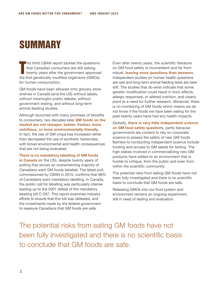# **SUMMARY**

T **his third CBAN report tackles the questions** that Canadian consumers are still asking, twenty years after the government approved the first genetically modified organisms (GMOs) for human consumption.

GM foods have been allowed onto grocery store shelves in Canada (and the US) without labels, without meaningful public debate, without government testing, and without long-term animal feeding studies.

Although launched with many promises of benefits to consumers, two decades later **GM foods on the market are not cheaper, tastier, fresher, more nutritious, or more environmentally-friendly**. In fact, the use of GM crops has increased rather than decreased the use of synthetic herbicides, with broad environmental and health consequences that are not being evaluated.

**There is no mandatory labelling of GM foods in Canada** (or the US), despite twenty years of polling that shows an overwhelming majority of Canadians want GM foods labelled. The latest poll, commissioned by CBAN in 2015, confirms that 88% of Canadians want mandatory labelling. In Canada, the public call for labelling was particularly intense leading up to the 2001 defeat of the mandatory labeling bill C-287. This report examines industry efforts to ensure that this bill was defeated, and the investments made by the federal government

to reassure Canadians that GM foods are safe.

Even after twenty years, the scientific literature on GM food safety is inconsistent and far from robust, **leaving more questions than answers**. Independent studies on human health questions are rare and long-term animal feeding tests are rarer still. The studies that do exist indicate that some genetic modification could result in toxic effects, allergic responses, or altered nutrition, and clearly point to a need for further research. Moreover, there is no monitoring of GM foods which means we do not know if the foods we have been eating for the past twenty years have had any health impacts.

Globally, **there is very little independent science on GM food safety questions**, partly because governments are content to rely on corporate science to assess the safety of new GM foods. Barriers to conducting independent science include funding and access to GM seeds for testing. The high stakes involved in commercializing new GM products have added to an environment that is hostile to critique, from the public and even from within the scientific community.

The potential risks from eating GM foods have not been fully investigated and there is no scientific basis to conclude that GM foods are safe.

Releasing GMOs into our food system and environment remains an ongoing experiment, still in need of testing and evaluation.

The potential risks from eating GM foods have not been fully investigated and there is no scientific basis to conclude that GM foods are safe.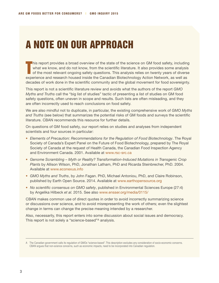# A note on our approach

T his report provides a broad overview of the state of the science on GM food safety, including what we know, and do not know, from the scientific literature. It also provides some analysis of the most relevant ongoing safety questions. This analysis relies on twenty years of diverse experience and research housed inside the Canadian Biotechnology Action Network, as well as decades of work done in the scientific community and the global movement for food sovereignty.

This report is not a scientific literature review and avoids what the authors of the report *GMO Myths and Truths* call the "big list of studies" tactic of presenting a list of studies on GM food safety questions, often uneven in scope and results. Such lists are often misleading, and they are often incorrectly used to reach conclusions on food safety.

We are also mindful not to duplicate, in particular, the existing comprehensive work of *GMO Myths and Truths* (see below) that summarizes the potential risks of GM foods and surveys the scientific literature. CBAN recommends this resource for further details.

On questions of GM food safety, our report relies on studies and analyses from independent scientists and four sources in particular:

- *Elements of Precaution: Recommendations for the Regulation of Food Biotechnology*. The Royal Society of Canada's Expert Panel on the Future of Food Biotechnology, prepared by The Royal Society of Canada at the request of Health Canada, the Canadian Food Inspection Agency and Environment Canada. 2001. Available at [www.rsc-src.ca](http://www.rsc-src.ca)
- *Genome Scrambling Myth or Reality? Transformation-Induced Mutations in Transgenic Crop Plants* by Allison Wilson, PhD, Jonathan Latham, PhD and Ricarda Steinbrecher, PhD. 2004. Available at [www.econexus.info](http://www.econexus.info)
- *GMO Myths and Truths*, by John Fagan. PhD, Michael Antoniou, PhD, and Claire Robinson, published by Earth Open Source. 2014. Available at [www.earthopensource.org](http://www.earthopensource.org)
- *No scientific consensus on GMO safety*, published in Environmental Sciences Europe (27:4) by Angelika Hilbeck *et al.* 2015. See also [www.ensser.org/media/0115/](http://www.ensser.org/media/0115/)

CBAN makes common use of direct quotes in order to avoid incorrectly summarizing science or discussions over science, and to avoid misrepresenting the work of others; even the slightest change in terms can change the precise meaning intended by a researcher.

Also, necessarily, this report enters into some discussion about social issues and democracy. This report is not solely a "science-based"<sup>A</sup> analysis.

A The Canadian government calls its regulation of GMOs "science-based". This description excludes any consideration of socio-economic concerns. CBAN argues that non-science concerns, such as economic impacts, need to be incorporated into Canadian regulation.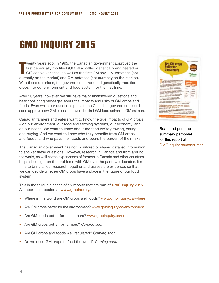# GMO Inquiry 2015

T wenty years ago, in 1995, the Canadian government approved the first genetically modified (GM, also called genetically engineered or GE) canola varieties, as well as the first GM soy, GM tomatoes (not currently on the market) and GM potatoes (not currently on the market). With these decisions, the government introduced genetically modified crops into our environment and food system for the first time.

After 20 years, however, we still have major unanswered questions and hear conflicting messages about the impacts and risks of GM crops and foods. Even while our questions persist, the Canadian government could soon approve new GM crops and even the first GM food animal, a GM salmon.

Canadian farmers and eaters want to know the true impacts of GM crops – on our environment, our food and farming systems, our economy, and on our health. We want to know about the food we're growing, eating and buying. And we want to know who truly benefits from GM crops and foods, and who pays their costs and bears the burden of their risks.

The Canadian government has not monitored or shared detailed information to answer these questions. However, research in Canada and from around the world, as well as the experiences of farmers in Canada and other countries, helps shed light on the problems with GM over the past two decades. It's time to bring all our research together and assess the evidence, so that we can decide whether GM crops have a place in the future of our food system.

This is the third in a series of six reports that are part of **GMO Inquiry 2015**. All reports are posted at www.[gmoinquiry.ca](http://www.gmoinquiry.ca).

- Where in the world are GM crops and foods? [www.gmoinquiry.ca/where](http://www.gmoinquiry.ca/where)
- Are GM crops better for the environment? [www.gmoinquiry.ca/environment](http://www.gmoinquiry.ca/environment)
- Are GM foods better for consumers? [www.gmoinquiry.ca/consumer](http://www.gmoinquiry.ca/consumer)
- Are GM crops better for farmers? *Coming soon*
- Are GM crops and foods well regulated? *Coming soon*
- Do we need GM crops to feed the world? *Coming soon*



Read and print the summary pamphlet for this report at [GMOinquiry.ca/consumer](http://www.GMOinquiry.ca/consumer)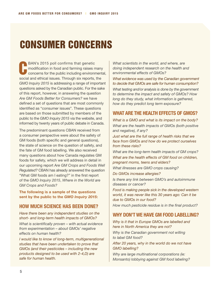# Consumer Concerns

C BAN's 2015 poll confirms that genetic modification in food and farming raises many concerns for the public including environmental, social and ethical issues. Through six reports, the *GMO Inquiry 2015* is addressing a range of important questions asked by the Canadian public. For the sake of this report, however, in answering the question *Are GM Foods Better for Consumers?* we have defined a set of questions that are most commonly identified as "consumer issues". These questions are based on those submitted by members of the public to the *GMO Inquiry 2015* via the website, and informed by twenty years of public debate in Canada.

The predominant questions CBAN received from a consumer perspective were about the safety of GM foods (both specific and general questions), the state of science on the question of safety, and the fate of GM food labelling. We also received many questions about how Canada regulates GM foods for safety, which we will address in detail in our upcoming report A*re GM Crops and Foods Well Regulated?* CBAN has already answered the question "What GM foods am I eating?" in the first report of the *GMO Inquiry 2015*, *Where in the World are GM Crops and Foods?*

**The following is a sample of the questions sent by the public to the** *GMO Inquiry 2015***:**

#### **How much science has been done?**

*Have there been any independent studies on the short- and long-term health impacts of GMOs? What is scientifically proven – with actual evidence from experimentation – about GMOs' negative effects on human health?*

*I would like to know of long-term, multigenerational studies that have been undertaken to prove that GMOs (and their pesticides – including the new products designed to be used with 2-4,D) are safe for human health.*

*What scientists in the world, and where, are doing independent research on the health and environmental effects of GMOs?*

*What evidence was used by the Canadian government to decide that GMOs are safe for human consumption? What testing and/or analysis is done by the government to determine the impact and safety of GMOs? How long do they study, what information is gathered, how do they predict long term exposure?*

### **What are the health effects of GMOs?**

*What is a GMO and what is its impact on the body? What are the health impacts of GMOs (both positive and negative), if any?*

*Just what are the full range of health risks that we face from GMOs and how do we protect ourselves from these risks?*

*What are the long-term health impacts of GM crops? What are the health effects of GM food on children, pregnant moms, teens and elders?*

*What illnesses are GMO crops causing?*

*Do GMOs increase allergies?*

*Is there any link between GMO's and autoimmune diseases or cancer?*

*Food is making people sick in the developed western world, it was never like this 30 years ago: Can it be due to GMOs in our food?*

*How much pesticide residue is in the final product?*

### **Why don't we have GM food labelling?**

*Why is it that in Europe GMOs are labelled and here in North America they are not?*

*Why is the Canadian government not willing to label GM food?*

*After 20 years, why in the world do we not have GMO labelling?* 

*Why are large multinational corporations (ie: Monsanto) lobbying against GM food labeling?*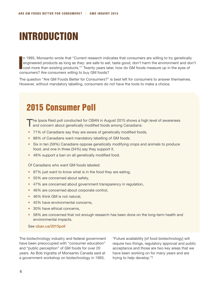# Introduction

I n 1995, Monsanto wrote that "Current research indicates that consumers are willing to try genetically engineered products as long as they: are safe to eat, taste good, don't harm the environment and don't cost more than existing products."1 Twenty years later, how do GM foods measure up in the eyes of consumers? Are consumers willing to buy GM foods?

The question "Are GM Foods Better for Consumers?" is best left for consumers to answer themselves. However, without mandatory labelling, consumers do not have the tools to make a choice.

# 2015 Consumer Poll

The Ipsos Reid poll conducted for CBAN in August 2015 shows a high level of awareness and concern about genetically modified foods among Canadians:

- 71% of Canadians say they are aware of genetically modified foods.
- 88% of Canadians want mandatory labelling of GM foods.
- Six in ten (59%) Canadians oppose genetically modifying crops and animals to produce food, and one in three (34%) say they support it.
- 48% support a ban on all genetically modified food.

Of Canadians who want GM foods labeled:

- 87% just want to know what is in the food they are eating,
- 55% are concerned about safety,
- 47% are concerned about government transparency in regulation,
- 46% are concerned about corporate control,
- 46% think GM is not natural.
- 45% have environmental concerns,
- 30% have ethical concerns,
- 58% are concerned that not enough research has been done on the long-term health and environmental impacts.

See [cban.ca/2015poll](http://www.cban.ca/2015poll)

The biotechnology industry and federal government have been preoccupied with "consumer education" and "public perception" of GM foods for over 20 years. As Bob Ingratta of Monsanto Canada said at a government workshop on biotechnology in 1993,

"Future availability [of food biotechnology] will require two things, regulatory approval and public acceptance and those are two key areas that we have been working on for many years and are trying to help develop."2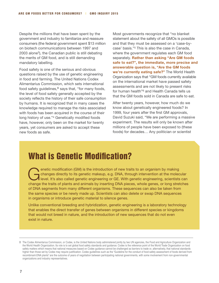Despite the millions that have been spent by the government and industry to familiarize and reassure consumers (the federal government spent \$13 million on biotech communications between 1997 and 2003 alone3), the Canadian public is still debating the merits of GM food, and is still demanding mandatory labelling.

Food safety is one of the serious and obvious questions raised by the use of genetic engineering in food and farming. The United Nations Codex Alimentarius Commission, which sets international food safety guidelines, $B$  says that, "for many foods, the level of food safety generally accepted by the society reflects the history of their safe consumption by humans. It is recognized that in many cases the knowledge required to manage the risks associated with foods has been acquired in the course of their long history of use."4 Genetically modified foods have, however, only been on the market for twenty years, yet consumers are asked to accept these new foods as safe.

Most governments recognize that "no blanket statement about the safety of all GMOs is possible and that they must be assessed on a 'case-bycase' basis."5 This is also the case in Canada, where the government regulates each GM food separately. **Rather than asking "Are GM foods safe to eat?", the immediate, more precise and answerable question is, "Are the GM foods we're currently eating safe?"** The World Health Organization says that "GM foods currently available on the international market have passed safety assessments and are not likely to present risks for human health"6 and Health Canada tells us that the GM foods sold in Canada are safe to eat.

After twenty years, however, how much do we know about genetically engineered foods? In 1999, four years after the first GM approvals, David Suzuki said, "We are performing a massive experiment. The results will only be known after millions of people have been exposed to (these foods) for decades… Any politician or scientist

## What is Genetic Modification?

enetic modification (GM) is the introduction of new traits to an organism by making<br>changes directly to its genetic makeup, e.g. DNA, through intervention at the molec<br>level. It's also called genetic engineering or GE. Wit changes directly to its genetic makeup, e.g. DNA, through intervention at the molecular level. It's also called genetic engineering or GE. With genetic engineering, scientists can change the traits of plants and animals by inserting DNA pieces, whole genes, or long stretches of DNA segments from many different organisms. These sequences can also be taken from the same species or be newly made up. Scientists can also delete or swap DNA sequences in organisms or introduce genetic material to silence genes.

Unlike conventional breeding and hybridization, genetic engineering is a laboratory technology that enables the direct transfer of genes between organisms in different species or kingdoms that would not breed in nature, and the introduction of new sequences that do not even exist in nature.

B The Codex Alimentarius Commission, or Codex, is the United Nations body administered jointly by two UN agencies, the Food and Agriculture Organization and the World Health Organization. Its role is to set global food safety standards and guidance. Codex is the reference point of the World Trade Organization on food safety matters which means that national measures based on Codex guidance cannot be challenged as barriers to trade or, alternatively, that national standards higher than those set by Codex may require justification. Codex guidelines such as the "Guideline for the conduct of food safety assessment of foods derived from recombinant-DNA plants" are the outcome of years of negotiation between participating national governments, with some involvement from non-governmental organizations and industry representatives.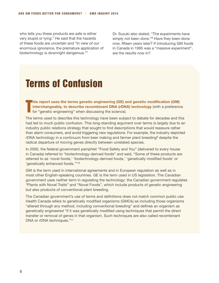who tells you these products are safe is either very stupid or lying." He said that the hazards of these foods are uncertain and "In view of our enormous ignorance, the premature application of biotechnology is downright dangerous."7

Dr. Suzuki also stated, "The experiments have simply not been done."<sup>8</sup> Have they been done now, fifteen years later? If introducing GM foods in Canada in 1995 was a "massive experiment", are the results now in?

# Terms of Confusion

T **his report uses the terms genetic engineering (GE) and genetic modification (GM) interchangeably, to describe recombinant DNA (rDNA) technology** (with a preference for "genetic engineering" when discussing the science).

The terms used to describe this technology have been subject to debate for decades and this had led to much public confusion. This long-standing argument over terms is largely due to an industry public relations strategy that sought to find descriptions that would reassure rather than alarm consumers, and avoid triggering new regulations. For example, the industry depicted rDNA technology in a continuum from beer making and farmer plant breeding<sup>9</sup> despite the radical departure of moving genes directly between unrelated species.

In 2000, the federal government pamphlet "Food Safety and You" (delivered to every house in Canada) referred to "biotechnology-derived foods" and said, "Some of these products are referred to as 'novel foods,' 'biotechnology-derived foods,' 'genetically modified foods' or 'genetically enhanced foods.'"10

GM is the term used in international agreements and in European regulation as well as in most other English-speaking countries. GE is the term used in US legislation. The Canadian government uses neither term in regulating the technology: the Canadian government regulates "Plants with Novel Traits" and "Novel Foods", which include products of genetic engineering but also products of conventional plant breeding.

The Canadian government's use of terms and definitions does not match common public use. Health Canada refers to genetically modified organisms (GMOs) as including those organisms "altered through any method, including conventional breeding" and defines an organism as genetically engineered "if it was genetically modified using techniques that permit the direct transfer or removal of genes in that organism. Such techniques are also called recombinant DNA or rDNA techniques."11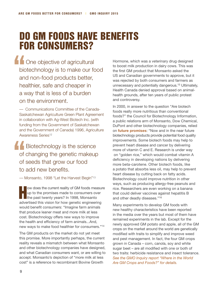# Do GM foods have benefits for consumers?

**A** One objective of agricultural biotechnology is to make our food and non-food products better, healthier, safe and cheaper in a way that is less of a burden on the environment.

— Communications Committee of the Canada-Saskatchewan Agriculture Green Plant Agreement in collaboration with Ag-West Biotech Inc. (with funding from the Government of Saskatchewan and the Government of Canada) 1996, Agriculture Awareness Series12

Biotechnology is the science of changing the genetic makeup of seeds that grow our food to add new benefits.

— Monsanto, 1998 "Let the Harvest Begin"13

H ow does the current reality of GM foods measure up to the promises made to consumers over the past twenty years? In 1998, Monsanto advertised this vision for how genetic engineering would benefit consumers: "Imagine farm animals that produce leaner meat and more milk at less cost. Biotechnology offers new ways to improve the health and efficiency of farm animals...And, new ways to make food healthier for consumers."14

The GM products on the market do not yet meet this promise. More importantly perhaps, the current reality reveals a mismatch between what Monsanto and other biotechnology companies have designed, and what Canadian consumers want, or are willing to accept. Monsanto's depiction of "more milk at less cost" is a reference to recombinant Bovine Growth

Hormone, which was a veterinary drug designed to boost milk production in dairy cows. This was the first GM product that Monsanto asked the US and Canadian governments to approve, but it was rejected by both consumers and farmers as unnecessary and potentially dangerous.15 Ultimately, Health Canada denied approval based on animalhealth grounds, after ten years of public protest and controversy.

In 2000, in answer to the question "Are biotech foods really more nutritious than conventional foods?" the Council for Biotechnology Information, a public relations arm of Monsanto, Dow Chemical, DuPont and other biotechnology companies, relied on **future promises**: "Now and in the near future biotechnology products provide potential food quality improvements. Some biotech foods may help to prevent heart disease and cancer by delivering more of vitamin C and E. Research is under way on "golden rice," which would combat vitamin A deficiency in developing nations by delivering more beta-carotene. Other biotech foods, like a potato that absorbs less oil, may help to prevent heart disease by cutting back on fatty acids. Biotechnology could improve nutrition in other ways, such as producing allergy-free peanuts and rice. Researchers are even working on a banana that could deliver vaccines against hepatitis B and other deadly diseases."16

Many experiments to develop GM foods with new healthy characteristics have been reported in the media over the years but most of them have remained experiments in the lab. Except for the newly approved GM potato and apple, all of the GM crops on the market around the world are genetically modified with traits to simplify and improve weed and pest management. In fact, the four GM crops grown in Canada – corn, canola, soy and white sugar beet – are all modified with one or both of two traits: herbicide resistance and insect tolerance. *See the GMO Inquiry report ["Where in the World](http://gmoinquiry.ca/where/)  [Are GM Crops and Foods?](http://gmoinquiry.ca/where/)" for details.*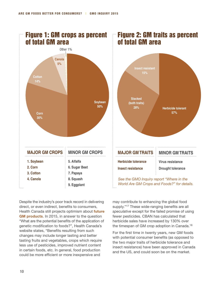

Despite the industry's poor track record in delivering direct, or even indirect, benefits to consumers, Health Canada still projects optimism about **future GM products**. In 2015, in answer to the question "What are the potential benefits of the application of genetic modification to foods?", Health Canada's website states, "Benefits resulting from such changes may include longer lasting and better tasting fruits and vegetables, crops which require less use of pesticides, improved nutrient content in certain foods, etc. In general, food production could be more efficient or more inexpensive and

may contribute to enhancing the global food supply."17 These wide-ranging benefits are all *speculative* except for the failed promise of using fewer pesticides. CBAN has calculated that herbicide sales have increased by 130% over the timespan of GM crop adoption in Canada.18

For the first time in twenty years, new GM foods with potential consumer benefits (as opposed to the two major traits of herbicide tolerance and insect resistance) have been approved in Canada and the US, and could soon be on the market.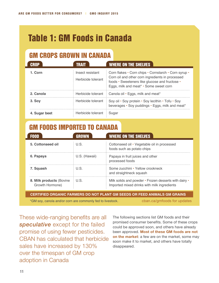# Table 1: GM Foods in Canada

## GM CROPS GROWN IN CANADA

| <b>CROP</b>   | <b>TRAIT</b>                           | <b>WHERE ON THE SHELVES</b>                                                                                                                                                                          |
|---------------|----------------------------------------|------------------------------------------------------------------------------------------------------------------------------------------------------------------------------------------------------|
| 1. Corn       | Insect resistant<br>Herbicide tolerant | Corn flakes • Corn chips • Cornstarch • Corn syrup •<br>Corn oil and other corn ingredients in processed<br>foods • Sweeteners like glucose and fructose •<br>Eggs, milk and meat* · Some sweet corn |
| 2. Canola     | Herbicide tolerant                     | Canola oil • Eggs, milk and meat*                                                                                                                                                                    |
| 3. Soy        | Herbicide tolerant                     | Soy oil • Soy protein • Soy lecithin • Tofu • Soy<br>beverages · Soy puddings · Eggs, milk and meat*                                                                                                 |
| 4. Sugar beet | Herbicide tolerant                     | Sugar                                                                                                                                                                                                |

## GM FOODS IMPORTED TO CANADA

| FOOD                                        | <b>GROWN</b>  | <b>WHERE ON THE SHELVES</b>                                                                          |
|---------------------------------------------|---------------|------------------------------------------------------------------------------------------------------|
| 5. Cottonseed oil                           | U.S.          | Cottonseed oil • Vegetable oil in processed<br>foods such as potato chips                            |
| 6. Papaya                                   | U.S. (Hawaii) | Papaya in fruit juices and other<br>processed foods                                                  |
| 7. Squash                                   | U.S.          | Some zucchini • Yellow crookneck<br>and straightneck squash                                          |
| 8. Milk products (Bovine<br>Growth Hormone) | U.S.          | Milk solids and powder • Frozen desserts with dairy •<br>Imported mixed drinks with milk ingredients |
|                                             |               | <u>A AN AR AINA</u>                                                                                  |

**Certified organic farmers do not plant GM seeds or feed animals GM grains**

\*GM soy, canola and/or corn are commonly fed to livestock.

[cban.ca/gmfoods for updates](http://www.cban.ca/gmfoods)

These wide-ranging benefits are all *speculative* except for the failed promise of using fewer pesticides. CBAN has calculated that herbicide sales have increased by 130% over the timespan of GM crop adoption in Canada

The following sections list GM foods and their promised consumer benefits. Some of these crops could be approved soon, and others have already been approved. **Most of these GM foods are not on the market**: a few are on the market, some may soon make it to market, and others have totally disappeared.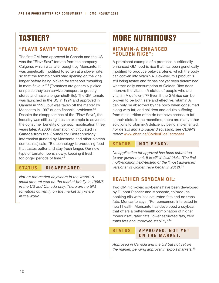# Tastier?

## **"Flavr Savr" Tomato:**

The first GM food approved in Canada and the US was the "Flavr Savr" tomato from the company Calgene, which was later bought by Monsanto. It was genetically modified to soften at a slower rate. so that the tomato could stay ripening on the vine longer before being picked for transport "resulting in more flavour."19 (Tomatoes are generally picked unripe so they can survive transport to grocery stores and have a longer shelf-life). The GM tomato was launched in the US in 1994 and approved in Canada in 1995, but was taken off the market by Monsanto in 1997 due to financial problems.<sup>20</sup> Despite the disappearance of the "Flavr Savr", the industry was still using it as an example to advertise the consumer benefits of genetic modification three years later. A 2000 information kit circulated in Canada from the Council for Biotechnology Information (funded by Monsanto and other biotech companies) said, "Biotechnology is producing food that tastes better and stay fresh longer. Our new type of tomato ripens slowly, keeping it fresh for longer periods of time."21

### **S t a tus Di s a ppe a red.**

*Not on the market anywhere in the world. A small amount was on the market briefly in 1995/6 in the US and Canada only. There are no GM tomatoes currently on the market anywhere in the world.*

## **MORE NUTRITIOUS?**

#### **Vitamin-A Enhanced "Golden Rice":**

A prominent example of a promised nutritionally enhanced GM food is rice that has been genetically modified to produce beta-carotene, which the body can convert into vitamin A. However, this product is still being tested and "it has not yet been determined whether daily consumption of Golden Rice does improve the vitamin A status of people who are vitamin A deficient."22 Even if the GM rice can be proven to be both safe and effective, vitamin A can only be absorbed by the body when consumed along with fat, and children and adults suffering from malnutrition often do not have access to fat in their diets. In the meantime, there are many other solutions to vitamin-A deficiency being implemented. *For details and a broader discussion, see CBAN's report* www.cban.ca/GoldenRiceFactsheet

#### $S$  **TATUS** NOT READY.

*No application for approval has been submitted to any government. It is still in field trials. (The first multi-location field-testing of the "most advanced versions" of Golden Rice began in 2012).23*

## **Healthier Soybean Oil:**

Two GM high-oleic soybeans have been developed by Dupont Pioneer and Monsanto, to produce cooking oils with less saturated fats and no trans fats. Monsanto says, "For consumers interested in heart health, Monsanto has developed a soybean that offers a better-health combination of higher monounsaturated fats, lower saturated fats, zero trans fats and improved stability."24

#### **S t a tus Approved. N ot y e t ON THE MARKET.**

*Approved in Canada and the US but not yet on the market; pending approval in export markets.25*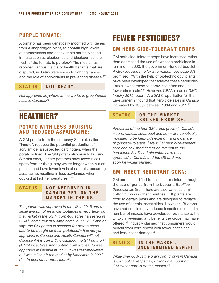## **Purple Tomato:**

A tomato has been genetically modified with genes from a snapdragon plant, to contain high levels of anthocyanins and antioxidants normally found in fruits such as blueberries and blackberries (the flesh of the tomato is purple).<sup>26</sup> The media has reported various claims of health benefits that are disputed, including references to fighting cancer and the role of antioxidants in preventing disease.<sup>27</sup>

### $$

*Not approved anywhere in the world. In greenhouse tests in Canada.28*

## Healthier?

#### **Potato with Less Bruising and Reduced Asparagine:**

A GM potato from the company Simplot, called "Innate", reduces the potential production of acrylamide, a suspected carcinogen, when the potato is fried. The GM potato also resists bruising. Simplot says, "Innate potatoes have fewer black spots from bruising, stay whiter longer when cut or peeled, and have lower levels of naturally-occurring asparagine, resulting in less acrylamide when cooked at high temperatures."29

#### **S t a tus N ot a pproved i n C a n a d a y et. O n t h e MARKET IN THE US.**

*The potato was approved in the US in 2015 and a small amount of fresh GM potatoes is reportedly on the market in the US,30 from 400 acres harvested in 201431 and a few thousand acres in 201532. Simplot says the GM potato is destined for potato chips and to be bought as fresh potatoes.33 It is not yet approved in Canada and Health Canada will not disclose if it is currently evaluating the GM potato.34 (A GM insect-resistant potato from Monsanto was approved in Canada in 1995. It was test-marketed but was taken off the market by Monsanto in 2001 due to consumer opposition.35)* 

## Fewer Pesticides?

## **GM Herbicide-Tolerant Crops:**

GM herbicide-tolerant crops have increased rather than decreased the use of synthetic herbicides in farming. In 2000, the government-funded booklet *A Growing Appetite for Information* (see page 37) promised: "With the help of biotechnology, plants have been developed that tolerate these herbicides. This allows farmers to spray less often and use fewer chemicals."36 However, CBAN's earlier *GMO Inquiry 2015* report "Are GM Crops Better for the Environment?" found that herbicide sales in Canada increased by 130% between 1994 and 2011.37

#### **STATUS ON THE MARKET. Broken P r o mi se.**

*Almost all of the four GM crops grown in Canada – corn, canola, sugarbeet and soy – are genetically modified to be herbicide-tolerant, and most are glyphosate-tolerant.38 New GM herbicide-tolerant corn and soy, modified to be tolerant to the herbicides 2,4-D and dicamba, have been approved in Canada and the US and may soon be widely planted.*

## **GM Insect-Resistant Corn:**

GM corn is modified to be insect-resistant through the use of genes from the bacteria *Bacillus thuringiensis* (Bt). (There are also varieties of Bt cotton grown in other countries.). Bt plants are toxic to certain pests and are designed to replace the use of certain insecticides. However, Bt crops have not consistently reduced insectide use, and a number of insects have developed resistance to the Bt toxin, reversing any benefits the crops may have offered.39 Industry claimed that consumers would benefit from corn grown with fewer pesticides and less insect damage.40

#### **STATUS ON THE MARKET. U ndeter mi ned Bene fi t.**

*While over 80% of the grain corn grown in Canada is GM, only a very small, unknown amount of GM sweet corn is on the market.42*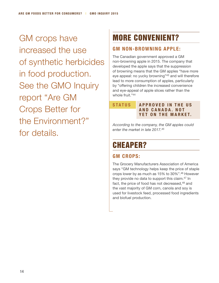GM crops have increased the use of synthetic herbicides in food production. See the GMO Inquiry report "Are GM Crops Better for the Environment?" for details.

# More Convenient?

## **GM Non-Browning Apple:**

The Canadian government approved a GM non-browning apple in 2015. The company that developed the apple says that the suppression of browning means that the GM apples "have more eye appeal: no yucky browning"43 and will therefore lead to more consumption of apples, particularly by "offering children the increased convenience and eye-appeal of apple slices rather than the whole fruit."44

**S t a tus Approved i n t h e US a nd C a n a d a . N o t YET ON THE MARKET.** 

*According to the company, the GM apples could enter the market in late 2017.45*

# **CHEAPER?**

## GM CROPS:

The Grocery Manufacturers Association of America says "GM technology helps keep the price of staple crops lower by as much as 15% to 30%".46 However they provide no data to support this claim.47 In fact, the price of food has not decreased, 48 and the vast majority of GM corn, canola and soy is used for livestock feed, processed food ingredients and biofuel production.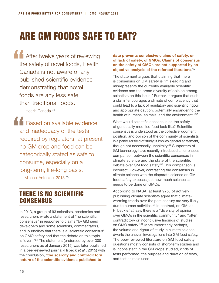# Are GM Foods Safe to Eat?

**After twelve years of reviewing** the safety of novel foods, Health Canada is not aware of any published scientific evidence demonstrating that novel foods are any less safe than traditional foods.

— Health Canada 49

**A Based on available evidence** and inadequacy of the tests required by regulators, at present no GM crop and food can be categorically stated as safe to consume, especially on a long-term, life-long basis. — Michael Antoniou, 2013 50

## There is no scientific **CONSENSUS**

In 2013, a group of 93 scientists, academics and researchers wrote a statement of "no scientific consensus" in response to claims "by GM seed developers and some scientists, commentators, and journalists that there is a 'scientific consensus' on GMO safety and that the debate on this topic is 'over'."51 The statement (endorsed by over 300 researchers as of January 2015) was later published in a peer-reviewed journal (Hilbeck *et al.*, 2015) with the conclusion, "**the scarcity and contradictory nature of the scientific evidence published to** 

#### **date prevents conclusive claims of safety, or of lack of safety, of GMOs. Claims of consensus on the safety of GMOs are not supported by an objective analysis of the refereed literature**."52

The statement argues that claiming that there is consensus on GM safety is "misleading and misrepresents the currently available scientific evidence and the broad diversity of opinion among scientists on this issue." Further, it argues that such a claim "encourages a climate of complacency that could lead to a lack of regulatory and scientific rigour and appropriate caution, potentially endangering the health of humans, animals, and the environment."<sup>53</sup>

What would scientific consensus on the safety of genetically modified food look like? Scientific consensus is understood as the collective judgment, position, and opinion of the community of scientists in a particular field of study; it implies general agreement, though not necessarily unanimity.<sup>54</sup> Supporters of GM technology have recently introduced an erroneous comparison between the scientific consensus in climate science and the state of the scientific debate over GM food safety.<sup>55</sup> This comparison is incorrect. However, contrasting the consensus in climate science with the disparate science on GM food safety exposes just how much science still needs to be done on GMOs.

According to NASA, at least 97% of actively publishing climate scientists agree that climatewarming trends over the past century are very likely due to human activities.<sup>56</sup> In contrast, on GM, as Hilbeck *et al.* say, there is a "diversity of opinion over GMOs in the scientific community" and "often contradictory or inconclusive findings of studies on GMO safety."57 More importantly perhaps, the volume and rigour of study in climate science dwarfs the uneven investigations into GM food safety. The peer-reviewed literature on GM food safety questions mostly consists of short-term studies and is inconsistent in the GM crops studied, kinds of tests performed, the purpose and duration of tests, and test animals used.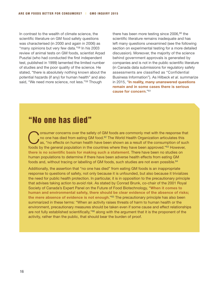In contrast to the wealth of climate science, the scientific literature on GM food safety questions was characterised (in 2000 and again in 2006) as "many opinions but very few data."58 In his 2003 review of animal tests on GM foods, scientist Arpad Pusztai (who had conducted the first independent test, published in 1999) lamented the limited number of studies and the poor quality of the science. He stated, "there is absolutely nothing known about the potential hazards (if any) for human health" and also said, "We need more science, not less."<sup>59</sup> Though

there has been more testing since  $2006,60$  the scientific literature remains inadequate and has left many questions unexamined (see the following section on experimental testing for a more detailed discussion). Moreover, the majority of the science behind government approvals is generated by companies and is not in the public scientific literature (in Canada data submissions for regulatory safety assessments are classified as "Confidential Business Information"). As Hilbeck *et al.* summarize in 2015, "**In reality, many unanswered questions remain and in some cases there is serious cause for concern**."61

## "No one has died"

Consumer concerns over the safety of GM foods are commonly met with the response that<br>no one has died from eating GM food.<sup>62</sup> The World Health Organization articulates this<br>as, "no effects on human health have been shown no one has died from eating GM food.<sup>62</sup> The World Health Organization articulates this sas, "no effects on human health have been shown as a result of the consumption of such foods by the general population in the countries where they have been approved."63 However, **there is no scientific basis for making such a statement**. There have been no studies on human populations to determine if there have been adverse health effects from eating GM foods and, without tracing or labelling of GM foods, such studies are not even possible.<sup>64</sup>

Additionally, the assertion that "no one has died" from eating GM foods is an inappropriate response to questions of safety, not only because it is unfounded, but also because it trivializes the need for public health protection. In particular, it is in opposition to the precautionary principle that advises taking action to *avoid risk*. As stated by Conrad Brunk, co-chair of the 2001 Royal Society of Canada's Expert Panel on the Future of Food Biotechnology, "**When it comes to human and environmental safety, there should be clear evidence of the absence of risks; the mere absence of evidence is not enough**."65 The precautionary principle has also been summarized in these terms: "When an activity raises threats of harm to human health or the environment, precautionary measures should be taken even if some cause and effect relationships are not fully established scientifically,"<sup>66</sup> along with the argument that it is the proponent of the activity, rather than the public, that should bear the burden of proof.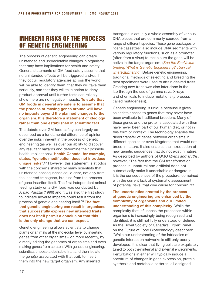## Inherent Risks of the Process of Genetic Engineering

The process of genetic engineering can create unintended and unpredictable changes in organisms that may have implications for health and safety. General statements of GM food safety assume that no unintended effects will be triggered and/or, if they occur, regulatory agencies across the world will be able to identify them, that they will take them seriously, and that they will take action to deny product approval until further tests can reliably show there are no negative impacts. **To state that GM foods in general are safe is to assume that the process of moving genes around will have no impacts beyond the planned changes to the organism. It is therefore a statement of ideology rather than one established in scientific fact**.

The debate over GM food safety can largely be described as a fundamental difference of opinion over the risks inherent in the process of genetic engineering (as well as over our ability to discover any resultant hazards and determine their possible health implications). **Health Canada, for example, states, "genetic modification does not introduce unique risks"**. 67 However, this statement is at odds with the concerns shared by many scientists that unintended consequences could arise, not only from the inserted transgene, but also from the process of gene insertion itself. The first independent animal feeding study on a GM food was conducted by Arpad Pusztai (1999) and it was also the first study to indicate adverse impacts could result from the process of genetic engineering itself.68 **The fact that genetic engineering can result in organisms that successfully express new intended traits does not itself permit a conclusion that this is the only change that we can expect**.

Genetic engineering allows scientists to change plants or animals at the molecular level by inserting genes from other organisms – or, more recently, by directly editing the genomes of organisms and even making genes from scratch. With genetic engineering, scientists choose a desirable trait and then isolate the gene(s) associated with that trait, to insert them into the new target organism. Any inserted

transgene is actually a whole assembly of various DNA pieces that are commonly sourced from a range of different species. These gene packages or "gene cassettes" also include DNA segments with various regulatory functions, such as a promoter (often from a virus) to make sure the gene will be active in the target organism. (*See the EcoNexus briefing What is Genetic Engineering? [cban.ca/](http://cban.ca/whatsGEbriefing) [whatsGEbriefing](http://cban.ca/whatsGEbriefing)*). Before genetic engineering, traditional methods of selecting and breeding the best specimens were used to attain desired traits. Creating new traits was also later done in the lab through the use of gamma rays, X-rays and chemicals to induce mutations (a process called mutagenesis).

Genetic engineering is unique because it gives scientists access to genes that may never have been available to traditional breeders. Many of these genes and the proteins associated with them have never been part of our human diet, or not in this form or context. The technology enables the direct transfer of genes between organisms in different species or even kingdoms that would not breed in nature. It also enables the introduction of new genetic sequences that do not exist in nature. As described by authors of *GMO Myths and Truths*, however, "The fact that the GM transformation process is unnatural and artificial does not automatically make it undesirable or dangerous. It is the consequences of the procedure, combined with the current lack of systematic assessment of potential risks, that give cause for concern."69

**The uncertainties created by the process of genetic engineering are enhanced by the complexity of organisms and our limited understanding of this complexity**. While the complexity that influences the processes within organisms is increasingly being recognized and identified, it is still not fully understood or defined. As the Royal Society of Canada's Expert Panel on the Future of Food Biotechnology described: "While our understanding of the intricacies of genetic interaction networks is still only poorly developed, it is clear that living cells are exquisitely tuned to both their internal and external environments. Perturbations in either will typically induce a spectrum of changes in gene expression, protein synthesis and metabolic patterns, all designed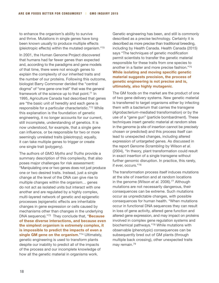to enhance the organism's ability to survive and thrive. Mutations in single genes have long been known usually to produce multiple effects (pleiotropic effects) within the mutated organism."70

In 2001, the Human Genome Project discovered that humans had far fewer genes than expected and, according to the paradigms and gene models of that time, there were not enough genes to explain the complexity of our inherited traits and the number of our proteins. Following this outcome, biologist Barry Commoner derided the "central dogma" of "one gene-one trait" that was the general framework of the science up to that point.<sup>71</sup> In 1995, Agriculture Canada had described that genes are "the basic unit of heredity and each gene is responsible for a particular characteristic."72 While this explanation is the foundation of genetic engineering, it no longer accounts for our current, still incomplete, understanding of genetics. It is now understood, for example, that a single gene can influence, or be responsible for two or more seemingly unrelated traits (pleiotropy); equally, it can take multiple genes to trigger or create one single trait (polygeny).

The authors of *GMO Myths and Truths* provide a summary description of this complexity, that also poses major challenges for risk assessment: "Manipulating one or two genes does not just produce one or two desired traits. Instead, just a single change at the level of the DNA can give rise to multiple changes within the organism… genes do not act as isolated units but interact with one another and are regulated by a highly complex, multi-layered network of genetic and epigenetic processes (epigenetic effects are inheritable changes in gene expression or cells caused by mechanisms other than changes in the underlying DNA sequence)."73 They conclude that, "**Because of these diverse interactions, and because even the simplest organism is extremely complex, it is impossible to predict the impacts of even a single GM gene on the organism**."74 Ultimately, genetic engineering is used to transform plants despite our inability to predict all of the impacts of the process and our incomplete knowledge of how all the genetic material in organisms work.

Genetic engineering has been, and still is commonly described as a precise technology. Certainly it is described as more precise than traditional breeding, including by Health Canada. Health Canada (2015) says "The techniques of genetic modification permit scientists to transfer the genetic material responsible for these traits from one species to another in a faster and more precise fashion."75 **While isolating and moving specific genetic material suggests precision, the process of genetic engineering is not precise and is, ultimately, also highly mutagenic**.

The GM foods on the market are the product of one of two gene delivery systems. New genetic material is transferred to target organisms either by infecting them with a bacterium that carries the transgene (*Agrobacterium*-mediated transformation) or by the use of a "gene gun" (particle bombardment). These techniques insert genetic material at random sites in the genome (a site of insertion cannot be precisely chosen or predicted) and this process itself can lead to unexpected changes, including altered expression of untargeted genes. As discussed in the report *Genome Scrambling* by Wilson *et al.* (2004), "In theory, plant transformation could result in exact insertion of a single transgene without further genomic disruption. In practice, this rarely, if ever, occurs."76

The transformation process itself induces mutations at the site of insertion and at random locations in the genome (Wilson *et al.* 2006).<sup>77</sup> Although mutations are not necessarily dangerous, their consequences can be extreme. Such mutations occur as unpredictable changes, with possible consequences for human health. "When mutations occur in functional DNA sequences they can result in loss of gene activity, altered gene function and altered gene expression, and may impact on proteins involved in complex gene regulation systems and biochemical pathways."78 While mutations with observable (phenotypic) consequences can be subsequently bred out of GM plants (through multiple back crossing), other unexpected traits may remain.79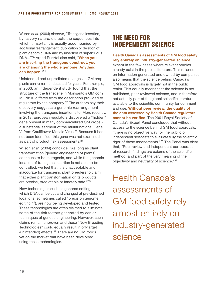Wilson *et al.* (2004) observe, "Transgene insertion, by its very nature, disrupts the sequences into which it inserts. It is usually accompanied by additional rearrangement, duplication or deletion of plant genomic DNA and by insertion of superfluous DNA..."80 Arpad Pusztai also said, "**When you are inserting the transgene construct, you are changing the whole genome. Anything can happen**."81

Unintended and unpredicted changes in GM crop plants can remain undetected for years. For example, in 2003, an independent study found that the structure of the transgene in Monsanto's GM corn MON810 differed from the description provided to regulators by the company.82 The authors say their discovery suggests a genomic rearrangement involving the transgene insertion site. More recently, in 2013, European regulators discovered a "hidden" gene present in many commercialized GM crops a substantial segment of the multifunctional Gene VI from Cauliflower Mosaic Virus.<sup>83</sup> Because it had not been identified, this gene was not examined as part of product risk assessments.<sup>84</sup>

Wilson *et al.* (2004) conclude: "As long as plant transformation [genetic engineering of plants] continues to be mutagenic, and while the genomic location of transgene insertion is not able to be controlled, we feel that it is unacceptable and inaccurate for transgenic plant breeders to claim that either plant transformation or its products are precise, predictable or innately safe."85

New technologies such as genome editing, in which DNA can be cut and changed at pre-destined locations (sometimes called "precision genome editing"86), are now being developed and tested. These technologies are often claimed to eliminate some of the risk factors generated by earlier techniques of genetic engineering. However, such claims remain unproven and these "New Breeding Technologies" could equally result in off-target (unintended) effects.87 There are no GM foods yet on the market that have been developed using these technologies.

## The Need for Independent Science

#### **Health Canada's assessments of GM food safety rely entirely on industry-generated science**,

except in the few cases where relevant studies already exist in the public literature. This reliance on information generated and owned by companies also means that the science behind Canada's GM food approvals is largely not in the public realm. This equally means that the science is not published, peer-reviewed science, and is therefore not actually part of the global scientific literature, available to the scientific community for comment and use. **Without peer review, the quality of the data assessed by Health Canada regulators cannot be verified**. The 2001 Royal Society of Canada's Expert Panel concluded that without access to the science behind GM food approvals, "there is no objective way for the public or independent scientists to evaluate fully the scientific rigor of these assessments."88 The Panel was clear that, "Peer review and independent corroboration of research findings are axioms of the scientific method, and part of the very meaning of the objectivity and neutrality of science."89

Health Canada's assessments of GM food safety rely almost entirely on industry-generated science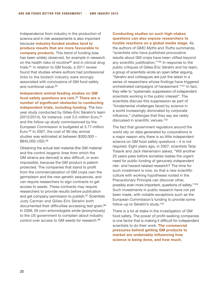Independence from industry in the production of science and in risk assessments is also important because **industry-funded studies tend to produce results that are more favourable to company products**. This trend of funding bias has been widely observed, for example in research on the health risks of nicotine<sup>90</sup> and in clinical drug trials.91 In relation to GM foods, a 2011 review found that studies where authors had professional links to the biotech industry were strongly associated with conclusions of GM food safety and nutritional value.<sup>92</sup>

**Independent animal feeding studies on GM food safety questions are rare.**<sup>93</sup> **There are a number of significant obstacles to conducting independent trials, including funding**. The twoyear study conducted by Gilles-Éric Séralini's team (2012/2014), for instance, cost  $3.2$ -million Euro,  $94$ and the follow-up study commissioned by the European Commission is budgeted at 3.77-million Euro.95 In 2007, the cost of 90-day animal studies was estimated at between \$300,000 – \$845,000 USD.96

Obtaining the actual test material (the GM material and the control isogenic lines from which the GM strains are derived) is also difficult, or even impossible, because the GM product is patentprotected. The companies that stand to profit from the commercialization of GM crops own the germplasm and the new genetic sequences, and can require researchers to sign contracts to get access to seeds. These contracts may require researchers to provide results before publication and get company permission to publish.<sup>97</sup> Scientists Judy Carman and Gilles-Eric Séralini both documented their difficulties accessing test grain.98 In 2009, 26 corn entomologists wrote (anonymously) to the US government to complain about industry control over access to GM seeds for research.99

**Conducting studies on such high-stakes questions can also expose researchers to hostile reactions on a global media stage**. As

the authors of *GMO Myths and Truths* summarize, "scientists who have published provocative results about GM crops have been vilified beyond any scientific justification."100 In response to the public critiques of Gilles-Éric Séralini and his team, a group of scientists wrote an open letter arguing, "Séralini and colleagues are just the latest in a series of researchers whose findings have triggered orchestrated campaigns of harassment."101 In fact, they refer to "systematic suppression of independent scientists working in the public interest". The scientists discuss this suppression as part of "fundamental challenges faced by science in a world increasingly dominated by corporate influence," challenges that they say are rarely discussed in scientific venues.102

The fact that government regulators around the world rely on data generated by corporations is a major reason why there is so little independent science on GM food safety questions – it is not required. Eight years ago, in 2007, scientists Terje Traavik and Jack Heinemann asked, "Will another 20 years pass before societies realise the urgent need for public funding of genuinely independent risk- and hazard-related research? The time for such investment is now, so that a new scientific culture with working hypotheses rooted in the Precautionary Principle can discover other, possibly even more important, questions of safety."103 Such investments in public research have not yet been made, with notable exceptions such as the European Commission's funding to provide some follow-up to Séralini's study.104

There is a lot at stake in the investigation of GM food safety. The power of profit-seeking companies is one factor that is making it difficult for independent scientists to do their work. **The commercial pressures behind getting GM products to market are undeniably influencing how science is being done, and how much.**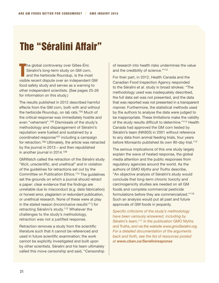# The "Séralini Affair"

T he global controversy over Gilles-Éric Séralini's long-term study on GM corn, and the herbicide Roundup, is the most visible recent dispute over an independent GM food safety study and serves as a warning to other independent scientists. (See pages 25-26 for information on this study.)

The results published in 2012 described harmful effects from the GM corn, both with and without the herbicide Roundup, on lab rats.105 Much of the critical response was immediately hostile and even "vehement".106 Dismissals of the study's methodology and disparagement of Séralini's reputation were fuelled and sustained by a coordinated response<sup>107</sup> including a campaign for retraction.108 Ultimately, the article was retracted by the journal in 2013 – and then republished in another journal in 2014.109

GMWatch called the retraction of the Séralini study "illicit, unscientific, and unethical" and in violation of the guidelines for retractions set out by the Committee on Publication Ethics.110 The guidelines set the grounds on which a journal should retract a paper: clear evidence that the findings are unreliable due to misconduct (e.g. data fabrication) or honest error, plagiarism or redundant publication, or unethical research. None of these were at play in the stated reason (inconclusive results<sup>111</sup>) for retracting Séralini's study.112 Whatever the challenges to the study's methodology, retraction was not a justified response.

Retraction removes a study from the scientific literature such that it cannot be referenced and used in future scientific examination; the work cannot be explicitly investigated and built upon by other scientists. Séralini and his team ultimately called this move censorship and said, "Censorship of research into health risks undermines the value and the credibility of science."113

For their part, in 2012, Health Canada and the Canadian Food Inspection Agency responded to the Séralini *et al.* study in broad strokes: "The methodology used was inadequately described, the full data set was not presented, and the data that was reported was not presented in a transparent manner. Furthermore, the statistical methods used by the authors to analyse the data were judged to be inappropriate. These limitations make the validity of the study results difficult to determine."114 Health Canada had approved the GM corn tested by Séralini's team (NK603) in 2001 without reference to any data from animal feeding trials, four years before Monsanto published its own 90-day trial.<sup>115</sup>

The serious implications of this one study largely explain the wave of heated response, the global media attention and the public responses from regulatory agencies around the world. As the authors of *GMO Myths and Truths* describe, "An objective analysis of Séralini's study would conclude that long-term chronic toxicity and carcinogenicity studies are needed on all GM foods and complete commercial pesticide formulations before they are commercialized."116 Such an analysis would put all past and future approvals of GM foods in jeopardy.

*Specific criticisms of the study's methodology have been variously answered, including by Séralini's team,*<sup>117</sup> *in the publication* GMO Myths and Truths, *and via the website [www.gmoSeralini.org](http://www.gmoseralini.org/en/). For a detailed documentation of the arguments back and forth, see the list of resources posted at www.cban.ca/Seraliniresponse*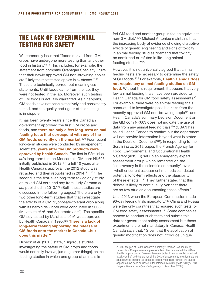## The Lack of Experimental Testing for Safety

We commonly hear that "foods derived from GM crops have undergone more testing than any other food in history."118 This includes, for example, the statement from company Okanagan Specialty Fruits that their newly approved GM non-browning apples are "likely the most tested apples in existence."119 These are technically correct but meaningless statements. Until foods came from the lab, they were not tested in the lab. Moreover, such testing of GM foods is actually warranted. As it happens, GM foods have not been extensively and consistently tested, and the quality and rigour of this testing is in dispute.

It has been twenty years since the Canadian government approved the first GM crops and foods, and **there are only a few long-term animal feeding tests that correspond with any of the**  GM foods currently on the market.<sup>120</sup> Four recent long-term studies were conducted by independent scientists, **years after the GM products were approved by Health Canada**. The first is Séralini *et al.*'s long-term test on Monsanto's GM corn NK603, initially published in 2012,<sup>121</sup> a full 10 years after Health Canada's approval (the 2012 study was retracted and then republished in 2014<sup>122</sup>).<sup>123</sup> The second is the first-ever long-term toxicology study on mixed GM corn and soy from Judy Carman *et al.*, published in 2013.124 (Both these studies are discussed in the following pages.) There are only two other long-term studies that that investigate the effects of a GM glyphosate-tolerant crop along with its herbicide - both were conducted in 2008 (Malatesta *et al.* and Sakamoto *et al.*). The specific GM soy tested by Malatesta *et al.* was approved by Health Canada in 1995.125 **There is a lack of long-term testing supporting the release of GM foods onto the market in Canada…but does this matter?**

Hilbeck *et al.* (2015) state, "Rigorous studies investigating the safety of GM crops and foods would normally involve, [among other things], animal feeding studies in which one group of animals is

fed GM food and another group is fed an equivalent non-GM diet."126 Michael Antoniou maintains that the increasing body of evidence showing disruptive effects of genetic engineering and signs of toxicity in animal feeding studies "demand that toxicity be confirmed or refuted in life-long animal feeding studies."127

However, it is not universally agreed that animal feeding tests are necessary to determine the safety of GM foods.128 For example, **Health Canada does not require any animal feeding studies on GM food.** Without this requirement, it appears that very few animal feeding trials have been provided to Health Canada for GM food safety assessments.<sup>C</sup> For example, there were no animal feeding trials conducted to investigate possible risks from the recently approved GM non-browning apple<sup>129</sup> and Health Canada's summary Decision Document on the GM corn NK603 does not indicate the use of data from any animal feeding trials<sup>130</sup> (CBAN has asked Health Canada to confirm but the department will not provide information beyond what is stated in the Decision Document<sup>131</sup>). In responding to the Séralini *et al.* 2012 paper, the French Agency for Food, Environmental and Occupational Health & Safety (ANSES) set up an emergency expert assessment group which remarked on the "controversy in the scientific community" over "whether current assessment methods can detect potential long-term effects and the plausibility of these effects."132 They further stated that this debate is likely to continue, "given that there are so few studies documenting these effects."

Until 2013 when the European Commission made 90-day feeding trials mandatory,<sup>133</sup> China and Russia were the only countries that required such tests for GM food safety assessments.<sup>134</sup> Some companies choose to conduct such tests and submit this data for government safety assessment but these experiments are not mandatory in Canada. Health Canada says that, "Given that the application of genetic modification does not introduce unique

C A 2000 analysis of Health Canada's summary "Decision Documents" by University of Guelph associate professor Ann Clark determined that 70% of the GM crops approved "have not been subjected to any actual lab or animal toxicity testing" and that the remaining 30% of assessments included trials with single purified proteins (as opposed to dietary feeding). None of the studies appear to have been published in the refereed literature. (*Food Safety of GM Crops in Canada: toxicity and allergenicity*, E. Ann Clark. 2000.)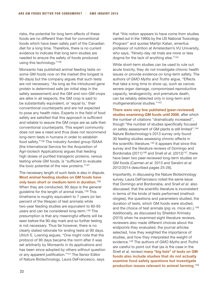risks, the potential for long term effects of these foods are no different than that for conventional foods which have been safely part of the Canadian diet for a long time. Therefore, there is no current evidence to indicate that long term studies are needed to ensure the safety of foods produced using this technology."135

Monsanto has published animal feeding tests on some GM foods now on the market (the longest is 90-days) but the company argues that such tests are not necessary. "As long as the introduced gene protein is determined safe (an initial step in the safety assessment) and the GM and non-GM crops are alike in all respects, the GM crop is said to be substantially equivalent, or 'equal to,' their conventional counterparts and are not expected to pose any health risks. Experts in the field of food safety are satisfied that this approach is sufficient and reliable to assure the GM crops are as safe their conventional counterparts. This expert community does not see a need and thus does not recommend long-term tests in humans in order to establish food safety."136 The industry-funded group ISAAA (the International Service for the Acquisition of Agri-biotech Applications) argues that feeding high doses of purified transgenic proteins, versus testing whole GM foods, is "sufficient to evaluate the toxic potential of the new proteins."137

The necessary length of such tests is also in dispute. **Most animal feeding studies on GM foods have only been short or medium-term in duration**. 138 When they are conducted, 90 days is the general guideline for the length of animal trials.139 This timeframe is roughly equivalent to 7 years (or ten percent of the lifespan of test animals) while two-year feeding studies are equivalent to 60-65 years and can be considered long-term.140 The presumption is that any meaningful effects will be seen before the 90-day mark and so further testing is not necessary. Thus far however, there is no clearly stated rationale for ending tests at 90 days. Ulrich E. Loening argues, "One might note that the protocol of 90 days became the norm after it was set arbitrarily by Monsanto in its applications and has been since adopted by others without question or any apparent justification."141 The Senior Editor of Nature Biotechnology, Laura DeFrancesco, says

that "this notion appears to have come from studies carried out in the 1990s by the US National Toxicology Program" and quotes Martijn Katan, emeritus professor of nutrition at Amsterdam's VU University, who says, "Ninety-day rat trials are more or less dogma for the lack of anything else."142

While short-term studies can be used to rule out acute toxicity, they do not investigate chronic health issues or provide evidence on long-term safety. The authors of *GMO Myths and Truths* argue, "Effects that take a long time to show up, such as cancer, severe organ damage, compromised reproductive capacity, teratogenicity, and premature death, can be reliably detected only in long-term and multigenerational studies."143

**There were very few published (peer-reviewed) studies examining GM foods until 2006**, after which the number of citations ''dramatically increased'', though "the number of studies specifically focused on safety assessment of GM plants is still limited".144 Nature Biotechnology's 2013 survey only found 30 feeding studies assessing chronic effects in the scientific literature.<sup>145</sup> It appears that since this survey and the literature reviews of Domingo and Bordonaba (2011)<sup>146</sup> and Snell *et al.* (2012)<sup>147</sup>, there have been two peer-reviewed long-term studies on GM foods (Carmen *et al.* 2013 and Seralini *et al.* 2012/2014 described pages 25-26).

Importantly, in discussing the Nature Biotechnology survey, Laura DeFrancesco noted the same issue that Domingo and Bordonaba, and Snell *et al.* also discussed: that the scientific literature is inconsistent in terms of the kinds of tests performed (methodologies), the questions and parameters studied, the duration of tests, which GM foods were studied, and the choice of test animals (pig vs. mice etc.).<sup>148</sup> Additionally, as discussed by Sheldon Krimsky (2015) when he examined eight literature reviews, reviewers also made different choices about the endpoints they evaluated, the journal articles selected, how they weighted the importance of studies, and how they interpreted the weight of evidence.149 The authors of *GMO Myths and Truths* are careful to point out that (as is the case in the Snell *et al.* review) **many "big lists" of tests on GM foods also include studies that do not actually examine food safety questions but investigate production issues relevant to animal farming**. 150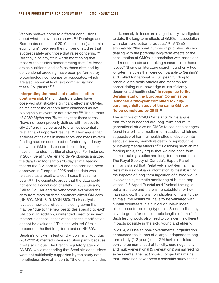Various reviews come to different conclusions about what the evidence shows.151 Domingo and Bordonaba note, as of 2010, a balance ("a certain equilibrium") between the number of studies that suggest safety and those that raise concerns.<sup>152</sup> But they also say, "it is worth mentioning that most of the studies demonstrating that GM foods are as nutritional and safe as those obtained by conventional breeding, have been performed by biotechnology companies or associates, which are also responsible of [sic] commercializing these GM plants."153

**Interpreting the results of studies is often controversial**. Many industry studies have observed statistically significant effects in GM-fed animals that the authors have dismissed as not biologically relevant or not adverse.<sup>154</sup> The authors of *GMO Myths and Truths* say that these terms "have not been properly defined with respect to GMOs" and may be used to dismiss potentially relevant and important results.155 They argue that analyses of the data in many short- and medium-term feeding studies conducted or funded by industry show that GM foods can be toxic, allergenic, or have unintended nutritional changes. For instance, in 2007, Séralini, Cellier and de Vendomois analyzed the data from Monsanto's 90-day animal feeding test on the GM corn MON 863 (the corn had been approved in Europe in 2005 and the data was released as a result of a court case that same year).156 The scientists argue that the data could not lead to a conclusion of safety. In 2009, Séralini, Cellier, Roullier and de Vendomois examined the data from tests on three commercialized GM corn (NK 603, MON 810, MON 863). Their analysis revealed new side-effects, including some that may be "due to the new pesticides specific to each GM corn. In addition, unintended direct or indirect metabolic consequences of the genetic modification cannot be excluded." This analysis led Séralini to conduct the first long-term test on NK 603.

Séralini's long-term test on GM corn and Roundup (2012/2014) merited intense scrutiny partly because it was so unique. The French regulatory agency ANSES, while responding that Séralini's conclusions were not sufficiently supported by the study data, nonetheless drew attention to "the originality of this

study, namely its focus on a subject rarely investigated to date: the long-term effects of GMOs in association with plant protection products."<sup>157</sup> ANSES emphasized "the small number of published studies dealing with the potential long-term effects of the consumption of GMOs in association with pesticides and recommends undertaking research into these issues" (their own literature search found only two long-term studies that were comparable to Séralini's) and called for national or European funding to "enable large-scale studies and research for consolidating our knowledge of insufficiently documented health risks." **In response to the Séralini study, the European Commission launched a two-year combined toxicity/ carcinogenicity study of the same GM corn (to be completed by 2018**<sup>158</sup>**)**.

The authors of *GMO Myths and Truths* argue that "What is needed are long-term and multigenerational studies on GMOs to see if the changes found in short- and medium-term studies, which are suggestive of harmful health effects, develop into serious disease, premature death, or reproductive or developmental effects."159 Following such animal feeding trials, they argue that we also need farmanimal toxicity studies and long-term human trials. The Royal Society of Canada's Expert Panel similarly stated that, "relatively short-term animal tests may yield valuable information, but establishing the impacts of long-term ingestion of a food would involve the systematic monitoring of human populations."160 Arpad Pusztai said "Animal testing is but a first step and there is no substitute for human studies. If there is no indication of harm to the animals, the results will have to be validated with human volunteers in a clinical double-blinded, placebo-controlled drug-type test. Such studies may have to go on for considerable lengths of time."161 Such testing would also need to consider the different impacts possible in the sick, young and elderly.

In 2014, a Russian non-governmental organization announced the launch of a large, independent longterm study (2-3 years) on a GM herbicide-tolerant corn, to be comprised of toxicity, carcinogenicity and multi-generational (5 generations) animal feeding experiments. The *Factor GMO* project maintains that "there has never been a scientific study that is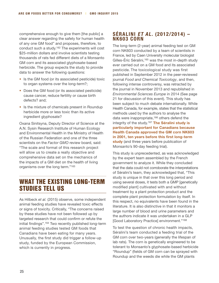comprehensive enough to give them [the public] a clear answer regarding the safety for human health of any one GM food" and proposes, therefore, to conduct such a study.162 The experiments will cost \$25-million dollars and involve scientists testing thousands of rats fed different diets of a Monsanto GM corn and its associated glyphosate-based herbicide. The group expects the study to provide data to answer the following questions:

- Is the GM food (or its associated pesticide) toxic to organ systems over the long-term?;
- Does the GM food (or its associated pesticide) cause cancer, reduce fertility or cause birth defects? and;
- Is the mixture of chemicals present in Roundup herbicide more or less toxic than its active ingredient glyphosate?

Oxana Sinitsyna, Deputy Director of Science at the A.N. Sysin Research Institute of Human Ecology and Environmental Health in the Ministry of Health of the Russian Federation and one of the three scientists on the *Factor GMO* review board, said: "The scale and format of this research project will allow us to create a really objective and comprehensive data set on the mechanics of the impacts of a GM diet on the health of living organisms over the long term."163

## What the existing long-term studies tell us

As Hilbeck *et al.* (2015) observe, some independent animal feeding studies have revealed toxic effects or signs of toxicity. Critically, "The concerns raised by these studies have not been followed up by targeted research that could confirm or refute the initial findings".164 Two recently published long-term animal feeding studies tested GM foods that Canadians have been eating for many years. Unusually, the first study did trigger a follow-up study, funded by the European Commission, which is currently in progress.

## **Séralini et al. (2012/2014) – NK603 corn**

The long-term (2-year) animal feeding test on GM corn NK603 conducted by a team of scientists in France, led by Caen University molecular biologist Gilles-Éric Séralini,<sup>165</sup> was the most in-depth study ever carried out on a GM food and its associated pesticide. The toxicological study was first published in September 2012 in the peer-reviewed journal *Food and Chemical Toxicology*, and then, following intense controversy, was retracted by the journal in November 2013 and republished in *Environmental Sciences Europe* in 2014 (See page 21 for discussion of this event). This study has been subject to much debate internationally. While Health Canada, for example, states that the statistical methods used by the authors to analyse the data were inappropriate,<sup>166</sup> others defend the integrity of the study.167 **The Séralini study is particularly important for Canadians because Health Canada approved the GM corn NK603 in 2001, ten years before this first long-term study** (and three years before publication of Monsanto's 90-day feeding trial).

This study is unprecedented, as was acknowledged by the expert team assembled by the French government to analyze it. While they concluded that the data could not corroborate the interpretations of Séralini's team, they acknowledged that, "This study is unique in that over this long period and using several doses, it tests both a GMP [genetically modified plant] cultivated with and without treatment by a plant protection product and the complete plant protection formulation by itself. In this respect, no equivalents have been found in the literature. It is also distinctive in that it monitors a large number of blood and urine parameters and the authors indicate it was undertaken in a GLP [Good Laboratory Practice] environment."168

To test the question of chronic health impacts, Séralini's team conducted a feeding trial of the GM corn over two-years (generally the lifespan of lab rats). The corn is genetically engineered to be tolerant to Monsanto's glyphosate-based herbicide "Roundup" (fields of GM corn can be sprayed with Roundup and the weeds die while the GM plants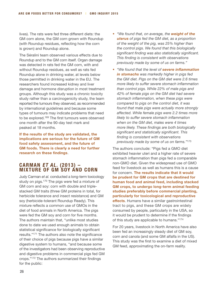lives). The rats were fed three different diets: the GM corn alone, the GM corn grown with Roundup (with Roundup residues, reflecting how the corn is grown) and Roundup alone.

The Séralini team observed various effects due to Roundup and to the GM corn itself. Organ damage was detected in rats fed the GM corn, with and without Roundup residues, as well as rats fed Roundup alone in drinking water, at levels below those permitted in drinking water in the EU. The researchers found increased kidney and liver damage and hormone disruption in most treatment groups. Although this study was a chronic toxicity study rather than a carcinogenicity study, the team reported the tumours they observed, as recommended by international guidelines and because some types of tumours may indicate problems that need to be explored.169 The first tumours were observed one month after the 90-day test mark and peaked at 18 months.

**If the results of the study are validated, the implications are serious for the future of GM food safety assessment, and the future of GM foods. There is clearly a need for further research on these findings**.

#### **Carman et al. (2013) – mixture of GM soy and corn**

Judy Carman *et al.* conducted a long-term toxicology study on pigs.<sup>170</sup> The pigs were fed a mixture of GM corn and soy: corn with double and triplestacked GM traits (three GM proteins in total, for herbicide tolerance and insect resistance) and GM soy (herbicide-tolerant Roundup Ready). This mixture reflects a common use of GMOs in the diet of food animals in North America. The pigs were fed the GM soy and corn for five months. The authors maintain that, "unlike most studies done to date we used enough animals to obtain statistical significance for biologically significant results."171 The authors also note the significance of their choice of pigs because pigs have a similar digestive system to humans, "and because some of the investigators had been observing reproductive and digestive problems in commercial pigs fed GM crops."172 The authors summarized their findings for the public:

- *"We found that, on average, the weight of the uterus of pigs fed the GM diet, as a proportion of the weight of the pig, was 25% higher than the control pigs. We found that this biologically significant finding was also statistically significant. This finding is consistent with observations previously made by some of us on farms."*
- *"We found that the level of severe inflammation in stomachs was markedly higher in pigs fed the GM diet. Pigs on the GM diet were 2.6 times more likely to suffer severe stomach inflammation than control pigs. While 22% of male pigs and 42% of female pigs on the GM diet had severe stomach inflammation, when these pigs were compared to pigs on the control diet, it was found that male pigs were actually more strongly affected. While female pigs were 2.2 times more likely to suffer severe stomach inflammation when on the GM diet, males were 4 times more likely. These findings are both biologically significant and statistically significant. This finding is consistent with observations previously made by some of us on farms."*<sup>173</sup>

The authors conclude: "Pigs fed a GMO diet exhibited heavier uteri and a higher rate of severe stomach inflammation than pigs fed a comparable non-GMO diet. Given the widespread use of GMO feed for livestock as well as humans this is a cause for concern. **The results indicate that it would be prudent for GM crops that are destined for human food and animal feed, including stacked GM crops, to undergo long-term animal feeding studies preferably before commercial planting, particularly for toxicological and reproductive effects**. Humans have a similar gastrointestinal tract to pigs, and these GM crops are widely consumed by people, particularly in the USA, so it would be prudent to determine if the findings of this study are applicable to humans."174

For 20 years, livestock in North America have also been fed an increasingly steady diet of GM soy, corn and canola (and some GM alfalfa in the US). This study was the first to examine a diet of mixed GM feed, approximating the on-farm reality.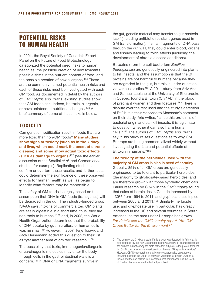## Potential Risks to Human Health

In 2001, the Royal Society of Canada's Expert Panel on the Future of Food Biotechnology categorized the potential direct risks to human health as: the possible creation of new toxicants, possible shifts in the nutrient content of food, and the possible creation of new allergens.175 These are the commonly named potential health risks and each of these risks must be investigated with each GM food. As documented in detail by the authors of *GMO Myths and Truths*, existing studies show that GM foods can, indeed, be toxic, allergenic, or have unintended nutritional changes.176 A brief summary of some of these risks is below.

## **Toxicity**

Can genetic modification result in foods that are more toxic than non-GM foods? **Many studies show signs of toxicity (such as in the kidney and liver, which could mark the onset of chronic disease) and some show actual toxic effects (such as damage to organs)**177 (see the earlier discussion of the Séralini *et al.* and Carman *et al.*  studies, for example). Replicating studies can confirm or overturn these results, and further tests could determine the significance of these observed effects for human health as well as begin to identify what factors may be responsible.

The safety of GM foods is largely based on the assumption that DNA in GM foods (transgenes) will be degraded in the gut. The industry-funded group ISAAA says, "toxins of commercialized GM plants are easily digestible in a short time, thus, they are non toxic to humans,"178 and, in 2002, the World Health Organization determined that the probability of DNA uptake by gut microflora or human cells was minimal.179 However, in 2007, Terje Traavik and Jack Heinemann added this question to their list as "yet another area of omitted research."180

The possibility that toxic, immunogenic/allergenic or carcinogenic molecules may enter the body through cells in the gastrointestinal walls is a concern.181 If DNA or DNA fragments survive in

the gut, genetic material may transfer to gut bacteria itself (including antibiotic resistant genes used in GM transformation). If small fragments of DNA pass through the gut wall, they could enter blood, organs and tissues leading to toxic effects (including the development of chronic disease conditions).

Bt toxins (from the soil bacterium *Bacillus thuringiensis*) are genetically engineered into plants to kill insects, and the assumption is that the Bt proteins are not harmful to humans because they are degraded in the gut, but this is under question via various studies.182 A 2011 study from Aziz Aris and Samuel Leblanc at the University of Sherbrooke in Quebec found a Bt toxin (Cry1Ab) in the blood of pregnant women and their foetuses.<sup>183</sup> There is dispute over the test used and the study's detection of Bt,<sup>D</sup> but in their response to Monsanto's comment on their study, Aris writes, "since this protein is of bacterial origin and can kill insects, it is legitimate to question whether it can also harm human cells."184 The authors of *GMO Myths and Truths* say, "This study raises questions as to why GM Bt crops are being commercialized widely without investigating the fate and potential effects of Bt toxin in humans."185

#### **The toxicity of the herbicides used with the majority of GM crops is also in need of scrutiny**.

Globally, 85% of all GM crops are genetically engineered to be tolerant to particular herbicides (the majority to glyphosate-based herbicides) and are therefore grown with those synthetic chemicals. Earlier research by CBAN in the *GMO Inquiry* found that sales of herbicides in Canada increased by 130% from 1994 to 2011, and glyphosate use tripled between 2005 and 2011.186 Similarly, herbicide use, and glyphosate use in particular, has greatly increased in the US and several countries in South America, as the area under Ht crops has grown. *For details see the GMO Inquiry report "Are GM Crops Better for the Environment?"* 

D The origin of the Cry1Ab protein (if this is what was detected) in Aris *et al*. is also disputed (by the New Zealand food safety authority, for example) because the authors did not survey the diets of the test subjects; Is the protein from eating GM Bt corn or exposure to residues from the use of Bt spray in agriculture? However, CBAN's research generally rules out alternative explanations – including because the use of Bt sprays in vegetable farming in Quebec is limited and the use of Bt in tree plantation pest control occurs in the North of Quebec, far from where the test subjects lived.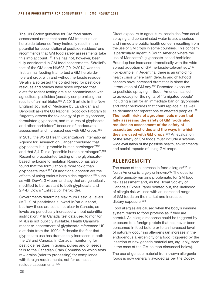The UN Codex guideline for GM food safety assessment notes that some GM traits such as herbicide tolerance "may indirectly result in the potential for accumulation of pesticide residues" and recommends that GM food safety assessments take this into account.<sup>187</sup> This has not, however, been fully considered in GM food assessments. Séralini's test of the GM corn NK603 (2012/2014) was the first animal feeding trial to test a GM herbicidetolerant crop, with and without herbicide residue. Séralini also tested the control feed for pesticide residues and studies have since exposed that diets for rodent testing are also contaminated with agricultural pesticides (possibly compromising the results of animal trials).188 A 2015 article in the New England Journal of Medicine by Landrigan and Benbrook asks the US National Toxicology Program to "urgently assess the toxicology of pure glyphosate, formulated glyphosate, and mixtures of glyphosate and other herbicides" because of inadequate assessment and increased use with GM crops.189

In 2015, the World Health Organization's International Agency for Research on Cancer concluded that glyphosate is a "probable human carcinogen"190 and that 2,4-D is a "possible human carcinogen".191 Recent unprecedented testing of the glyphosatebased herbicide formulation Roundup has also found that the formulation is more toxic than glyphosate itself.192 Of additional concern are the effects of using various herbicides together,<sup>193</sup> such as with Dow's GM corn and soy that are genetically modified to be resistant to both glyphosate and 2,4-D (Dow's "Enlist Duo" herbicide).

Governments determine Maximum Residue Levels (MRLs) of pesticides allowed in/on our food, but how these are set is not clear in Canada, as levels are periodically increased without scientific justification.<sup>194</sup> In Canada, test data used to monitor MRLs is not publicly available. Health Canada's recent re-assessment of glyphosate referenced US diet data from the 1990s<sup>195</sup> despite the fact that glyphosate use has dramatically increased in both the US and Canada. In Canada, monitoring for pesticide residues in grains, pulses and oil seeds falls to the Canadian Grain Commission which tests raw grains (prior to processing) for compliance with foreign requirements, not for domestic residue assessments.196

Direct exposure to agricultural pesticides from aerial spraying and contaminated water is also a serious and immediate public health concern resulting from the use of GM crops in some countries. This concern is particularly urgent in South America where the use of Monsanto's glyphosate-based herbicide Roundup has increased dramatically with the widespread adoption of GM herbicide-tolerant soy.197 For example, in Argentina, there is an unfolding health crisis where birth defects and childhood cancers have increased dramatically since the introduction of GM soy.198 Repeated exposure to pesticide spraying in South America has led to advocacy for the rights of "fumigated people" including a call for an immediate ban on glyphosate and other herbicides that could replace it, as well as demands for reparations to affected peoples.199 **The health risks of agrochemicals mean that fully assessing the safety of GM foods also requires an assessment of the safety of associated pesticides and the ways in which they are used with GM crops**. 200 An evaluation of the safety of GM foods must include a systemwide evaluation of the possible health, environmental and social impacts of using GM crops.

## **Allergenicity**

The cause of the increase in food allergies $201$  in North America is largely unknown.202 The question of allergenicity remains problematic for GM food risk assessment and, as the Royal Society of Canada's Expert Panel pointed out, the likelihood of allergic risk will rise with an increased range of GM foods on the market and increased dietary exposure.<sup>203</sup>

Food allergies are caused when the body's immune system reacts to food proteins as if they are harmful. An allergic response could be triggered by exposure to a foreign protein that has never been consumed in food before or to an increased level of naturally occurring allergens (an increase in the endogenous allergenicity of a food) triggered by the insertion of new genetic material (as, arguably, seen in the case of the GM salmon discussed below).

The use of genetic material from known allergenic foods is now generally avoided as per the Codex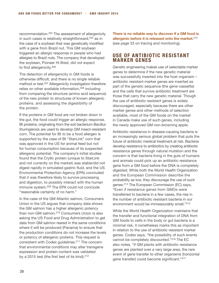recommendation.204 The assessment of allergenicity in such cases is relatively straightforward,<sup>205</sup> as in the case of a soybean that was genetically modified with a gene from Brazil nut. This GM soybean triggered an allergic response in people who had allergies to Brazil nuts. The company that developed the soybean, Pioneer Hi Bred, did not expect to find allergenicity.206

The detection of allergenicity in GM foods is otherwise difficult, and there is no single reliable method or test.207 Allergenicity investigation therefore relies on other available information,<sup>208</sup> including from comparing the structure (amino acid sequence) of the new protein to structures of known allergenic proteins, and assessing the digestibility of the protein.

If the proteins in GM food are not broken down in the gut, the food could trigger an allergic response. Bt proteins, originating from the soil bacterium *Bacillus thuringiensis* are used to develop GM insect-resistant corn. The potential for Bt to be a food allergen is supported by the case of Bt "StarLink" corn that was approved in the US for animal feed but not for human consumption because of its suspected allergenic potential. The company's initial studies found that the Cry9c protein (unique to StarLink and not currently on the market) was stable/did not digest rapidly in simulated gastric fluid, and the US Environmental Protection Agency (EPA) concluded that it was therefore likely to survive processing and digestion, to possibly interact with the human immune system.209 The EPA could not conclude "reasonable certainty of no harm."

In the case of the GM Atlantic salmon, Consumers Union in the US argues that company data shows the GM salmon has a higher allergenic potency than non-GM salmon.210 Consumers Union is also asking the US Food and Drug Administration to get data from GM salmon reared in the same conditions where it will be produced (Panama) to ensure that the production conditions do not increase the levels or potency of allergenic proteins. This request is consistent with Codex guidelines.211 The concern that environmental conditions may alter transgene expression and protein content was validated by a 2015 test (the first test of its kind).<sup>212</sup>

**There is no reliable way to discover if a GM food is allergenic before it is released onto the market.**<sup>213</sup> (see page 33 on tracing and monitoring).

#### **Use of Antibiotic Resistant Marker Genes**

Genetic engineering makes use of selectable marker genes to determine if the new genetic material was successfully inserted into the host organism – antibiotic resistant marker genes are inserted as part of the genetic sequence (the gene-cassette) and the cells that survive antibiotic treatment are those that carry the new genetic material. Though the use of antibiotic resistant genes is widely discouraged, especially because there are other marker genes and other methods of selection available, most of the GM foods on the market in Canada make use of such genes, including the newly approved GM non-browning apple.

Antibiotic resistance in disease-causing bacteria is an increasingly serious global problem that puts the future of antibiotic medical treatment at risk. Bacteria develop resistance to antibiotics by creating antibiotic resistance genes through natural mutation and the concern is that bacteria living in the guts of humans and animals could pick up an antibiotic resistance gene from a GM food before the DNA is completely digested. While both the World Health Organization and the European Commission describe the probability as low, they discourage the use of such genes.214 The European Commission (EC) says, "Even if resistance genes from GMOs were transferred to bacteria in a few cases, the rise in the number of antibiotic resistant bacteria in our environment would be immeasurably small."215

While the World Health Organization maintains that the transfer and functional integration of DNA from GM foods to cells in the body or gut bacteria is a minimal risk, it nonetheless marks this as important in relation to the use of antibiotic resistant marker genes. Codex says, "the possibility of such events cannot be completely discounted."216 The EC also notes, "if GM plants with antibiotic resistance genes are planted over a very large area, the rare event of gene transfer to other organisms (horizontal gene transfer) could become significant."217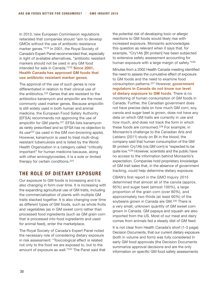In 2013, new European Commission regulations reiterated that companies should "aim to develop GMOs without the use of antibiotic resistance marker genes."218 In 2001, the Royal Society of Canada's Expert Panel recommended that, especially in light of available alternatives, "antibiotic resistant markers should not be used in any GM food intended for sale in Canada."219 **Since 2001, Health Canada has approved GM foods that use antibiotic resistant marker genes**.

The approval of the use of such genes is now differentiated in relation to their clinical use of the antibiotics.220 Genes that are resistant to the antibiotics kanamycin and ampicillin are the most commonly used marker genes. Because ampicillin is still widely used in both human and animal medicine, the European Food Safety Authority (EFSA) recommends not approving the use of ampicillin for GM plants.<sup>221</sup> EFSA lists kanamycin as rarely prescribed and so EFSA has no objection to its use<sup>222</sup> (as used in the GM non-browning apple). However, kanamycin is used to treat multi-drug resistant tuberculosis and is listed by the World Health Organization in a category called "critically important" for human medicine because, along with other aminoglycosides, it is a sole or limited therapy for certain conditions.223

## **The Role of Dietary Exposure**

Our exposure to GM foods is increasing and it is also changing in form over time. It is increasing with the expanding agricultural use of GM traits, including the commercialization of plants with multiple GM traits stacked together. It is also changing over time as different types of GM foods, such as whole fruits and vegetables (as in GM sweet corn) rather than processed food ingredients (such as GM grain corn that is processed into food ingredients and used for animal feed), enter the marketplace.

The Royal Society of Canada's Expert Panel noted the necessary role of considering dietary exposure in risk assessment: "Toxicological effect is related not only to the food we are exposed to, but to the amount of exposure as well."224 The Panel said that the potential risk of developing toxic or allergic reactions to GM foods would likely rise with increased exposure. Monsanto acknowledges this question as relevant when it says that, for example, "Cry1Ab [Bt protein] has been subjected to extensive safety assessment accounting for human exposure with a large margin of safety."226

Minutes from a 2002 Health Canada meeting identified the need to assess the cumulative effect of exposure to GM foods and the need to examine food consumption patterns.227 However, **government regulators in Canada do not know our level of dietary exposure to GM foods**. There is no monitoring of human consumption of GM foods in Canada. Further, the Canadian government does not have precise data on how much GM corn, soy, canola and sugar beet is grown, does not have any data on which GM traits are currently in use and how much, and does not track the form in which these foods are consumed.<sup>228</sup> For example, in Monsanto's challenge to the Canadian Aris and Leblanc (2011) study on Bt in the blood, the company said that human consumption of the GM Bt protein Cry1Ab (via GM corn) is "expected to be quite low."229 However, scientists and the public have no access to the information behind Monsanto's expectation. Companies hold proprietary knowledge of GM trait sales that, in the absence of government tracking, could help determine dietary exposure.

CBAN's first report in the *GMO Inquiry 2015* determined that almost all of the canola (approx. 95%) and sugar beet (almost 100%), a large proportion of the grain corn (over 80%), and approximately two thirds (at least 60%) of the soybeans grown in Canada are GM.<sup>230</sup> There is a very small, unknown quantity of GM sweet corn grown in Canada. GM papaya and squash are also imported from the US. Most of our meat and dairy comes from animals fed a steady diet of GM feed.

It is not clear from Health Canada's short (1-3 page) Decision Documents, that our current dietary exposure (both in volume and form) was fully considered in early GM food approvals (the Decision Documents summarize approval decisions and are the only information on specific GM food safety assessments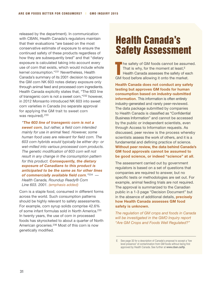released by the department). In communication with CBAN, Health Canada's regulators maintain that their evaluations "are based on the most conservative estimate of exposure to ensure the continued safety of these products regardless of how they are subsequently bred" and that "dietary exposure is calculated taking into account every use of corn that exists, which would include whole kernel consumption."231 Nevertheless, Health Canada's summary of its 2001 decision to approve the GM corn NK 603 notes dietary exposure only through animal feed and processed corn ingredients. Health Canada explicitly states that, "The 603 line of transgenic corn is not a sweet corn,"232 however, in 2012 Monsanto introduced NK 603 into sweet corn varieties in Canada (no separate approval for applying the GM trait to sweet corn was required).<sup>233</sup>

*"The 603 line of transgenic corn is not a sweet corn, but rather, a field corn intended mainly for use in animal feed. However, some human food uses are relevant for field corn. The 603 corn hybrids would typically be either dry- or wet-milled into various processed corn products. The genetic modification of 603 corn will not result in any change in the consumption pattern for this product. Consequently, the dietary exposure of Canadians to this product is anticipated to be the same as for other lines of commercially available field corn."*<sup>234</sup> *— Health Canada, Roundup Ready® Corn Line 603. 2001. (emphasis added)*

Corn is a staple food, consumed in different forms across the world. Such consumption patterns should be highly relevant to safety assessments. For example, corn syrup solids comprise 42.6% of some infant formulas sold in North America.235 In twenty years, the use of corn in processed foods has skyrocketed to about a quarter of North American groceries.236 Most of this corn is now genetically modified.

# Health Canada's Safety Assessment

T he safety of GM foods cannot be assumed. That is why, for the moment at least, $E$ Health Canada assesses the safety of each GM food before allowing it onto the market.

**Health Canada does not conduct any safety testing but approves GM foods for human consumption based on industry-submitted information**. This information is often entirely industry-generated and rarely peer-reviewed. The data package submitted by companies to Health Canada is classified as "Confidential Business Information" and cannot be accessed by the public or independent scientists, even through Access to Information requests. As discussed, peer review is the process whereby scientists assess the work of others, and it is a fundamental and defining practice of science. **Without peer review, the data behind Canada's GM food approvals cannot be assumed to be good science, or indeed "science" at all**.

The assessment carried out by government regulators is based on a set of questions that companies are required to answer, but no specific tests or methodologies are set out. For example, animal feeding trials are not required. The approval is summarized to the Canadian public in a 1-3 page "Decision Document" but in the absence of additional details, **precisely how Health Canada assesses GM food safety is unknown**.

*The regulation of GM crops and foods in Canada will be investigated in the GMO Inquiry report "Are GM Crops and Foods Well Regulated?"*

E See page 32 for a description of Canada's proposal to accept a "low level presence" of contamination from GM foods without being first approved by Health Canada. See further at **www.cban.ca/llp**.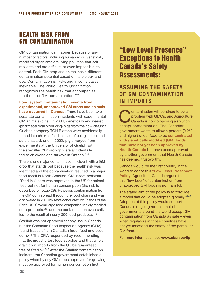## Health Risk from GM Contamination

GM contamination can happen because of any number of factors, including human error. Genetically modified organisms are living pollution that selfreplicate and are difficult, or even impossible, to control. Each GM crop and animal has a different contamination potential based on its biology and use. Contamination is likely, and in some cases inevitable. The World Health Organization recognizes the health risk that accompanies the threat of GM contamination.237

**Food system contamination events from experimental, unapproved GM crops and animals have occurred in Canada**. There have been two separate contamination incidents with experimental GM animals (pigs). In 2004, genetically engineered (pharmaceutical producing) pigs from the now-defunct Quebec company TGN Biotech were accidentally turned into chicken feed instead of being incinerated as biohazard, and in 2002, pig embryos from experiments at the University of Guelph with the so-called "Enviropig" were accidentally fed to chickens and turkeys in Ontario.<sup>238</sup>

There is one major contamination incident with a GM crop that stands out because the health risk was identified and the contamination resulted in a major food recall in North America. GM insect-resistant "StarLink" corn was approved in the US for animal feed but not for human consumption (the risk is described on page 29). However, contamination from the GM corn spread through the food chain and was discovered in 2000 by tests conducted by Friends of the Earth US. Several large food companies rapidly recalled corn products,239 and the contamination eventually led to the recall of nearly 300 food products.<sup>240</sup>

Starlink was not approved for any use in Canada but the Canadian Food Inspection Agency (CFIA) found traces of it in Canadian food, feed and seed corn.241 The CFIA responded by recommending that the industry test food supplies and that whole grain corn imports from the US be guaranteed free of Starlink.242 After the Starlink contamination incident, the Canadian government established a policy whereby any GM crops approved for growing must be approved for human consumption first.

## "Low Level Presence" Exceptions to Health Canada's Safety Assessments:

## **Assuming the Safety of GM Contamination in Imports**

**Contamination will continue to be a**<br>problem with GMOs, and Agricultu<br>Canada is now proposing a solution problem with GMOs, and Agriculture Canada is now proposing a solution: accept contamination. The Canadian government wants to allow a percent (0.2% and higher) of our food to be **contaminated with genetically modified (GM) foods that have not yet been approved by Health Canada** but have been approved by another government that Health Canada has deemed trustworthy.

Canada would be the first country in the world to adopt this **"Low Level Presence" Policy**. Agriculture Canada argues that this "low level" of contamination from unapproved GM foods is not harmful.

The stated aim of the policy is to "provide a model that could be adopted globally."<sup>243</sup> Adoption of this policy would support Canada's ongoing request that other governments around the world accept GM contamination from Canada as safe – even when regulators in those countries have not yet assessed the safety of the particular GM food.

For more information see **[www.cban.ca/llp](http://www.cban.ca/llp)**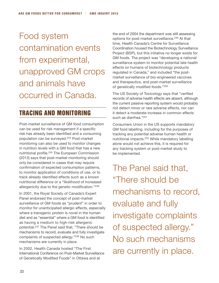Food system contamination events from experimental, unapproved GM crops and animals have occurred in Canada.

## Tracing and Monitoring

Post-market surveillance of GM food consumption can be used for risk management if a specific risk has already been identified and a consuming population can be surveyed.244 Post-market monitoring can also be used to monitor changes in nutrition levels with a GM food that has a new nutritional profile.245 The European Commission (2013) says that post-market monitoring should only be considered in cases that may require confirmation of expected consumption patterns, to monitor application of conditions of use, or to track already identified effects such as a known nutritional difference or a "likelihood of increased allergenicity due to the genetic modification."246

In 2001, the Royal Society of Canada's Expert Panel endorsed the concept of post-market surveillance of GM foods as "prudent" in order to monitor for unanticipated allergic effects, especially where a transgenic protein is novel in the human diet and as "essential" where a GM food is identified as having a medium to high-risk allergenic potential.247 The Panel said that, "There should be mechanisms to record, evaluate and fully investigate complaints of suspected allergy."248 No such mechanisms are currently in place.

In 2002, Health Canada hosted "The First International Conference on Post-Market Surveillance of Genetically Modified Foods" in Ottawa and at

the end of 2004 the department was still assessing options for post-market surveillance.249 At that time, Health Canada's Centre for Surveillance Coordination housed the Biotechnology Surveillance Project (BSP), but this initiative no longer exists for GM foods. The project was "developing a national surveillance system to monitor potential late health effects on humans of biotechnology products regulated in Canada," and included "the postmarket surveillance of bio-engineered vaccines and therapeutics, and post-market surveillance of genetically modified foods."250

The US Society of Toxicology says that "verified records of adverse health effects are absent, although the current passive reporting system would probably not detect minor or rare adverse effects, nor can it detect a moderate increase in common effects such as diarrhea."251

Consumers Union in the US supports mandatory GM food labelling, including for the purposes of tracking any potential adverse human health or nutritional impacts.252 While mandatory labelling alone would not achieve this, it is required for any tracking system or post-market study to be implemented.

The Panel said that, "There should be mechanisms to record, evaluate and fully investigate complaints of suspected allergy." No such mechanisms are currently in place.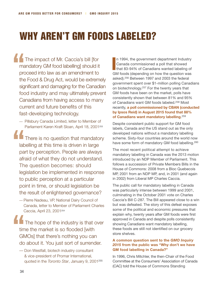# Why aren't GM foods labeled?

The impact of Mr. Caccia's bill [for mandatory GM food labelling] should it proceed into law as an amendment to the Food & Drug Act, would be extremely significant and damaging for the Canadian food industry and may ultimately prevent Canadians from having access to many current and future benefits of this fast-developing technology.

— Pillsbury Canada Limited, letter to Member of Parliament Karen Kraft Sloan, April 18, 2001<sup>253</sup>

 There is no question that mandatory labelling at this time is driven in large part by perception. People are always afraid of what they do not understand. The question becomes: should legislation be implemented in response to public perception at a particular point in time, or should legislation be the result of enlightened governance?

— Pierre Nadeau, VP, National Dairy Council of Canada, letter to Member of Parliament Charles Caccia, April 23, 2001<sup>254</sup>

 The hope of the industry is that over time the market is so flooded [with GMOs] that there's nothing you can do about it. You just sort of surrender.

— Don Westfall, biotech industry consultant & vice-president of Promar International, quoted in the *Toronto Star*, January 9, 2001<sup>255</sup> I n 1994, the government department Industry Canada commissioned a poll that showed that 83-94% of Canadians wanted labeling of GM foods (depending on how the question was asked).256 Between 1997 and 2003 the federal government spent over \$1-million polling Canadians on biotechnology.257 For the twenty years that GM foods have been on the market, polls have consistently shown that between 81% and 95% of Canadians want GM foods labeled.258 Most recently, **a poll commissioned by CBAN (conducted by Ipsos Reid) in August 2015 found that 88% of Canadians want mandatory labelling**. 259

Despite consistent public support for GM food labels, Canada and the US stand out as the only developed nations without a mandatory labelling scheme. Sixty-four countries around the world now have some form of mandatory GM food labelling.<sup>260</sup>

The most recent political attempt to achieve mandatory labelling in Canada was the 2013 motion introduced by an NDP Member of Parliament. This follows a succession of Private Members Bills in the House of Commons: 2008 from a Bloc Quebecois MP, 2001 from an NDP MP, and, in 2001 (and again in 2002) from Liberal MP Charles Caccia.

The public call for mandatory labelling in Canada was particularly intense between 1999 and 2001, culminating in the October 2001 vote on Charles Caccia's Bill C-287. The Bill appeared close to a win but was defeated. The story of this defeat exposes some of the political and economic pressures that explain why, twenty years after GM foods were first approved in Canada and despite polls consistently showing Canadians want mandatory labelling, these foods are still not identified on our grocery store shelves.

#### **A common question sent to the** *GMO Inquiry 2015* **from the public was "Why don't we have GM food labelling in Canada?"**

In 1996, Chris Mitchler, the then-Chair of the Food Committee at the Consumers' Association of Canada (CAC) told the House of Commons Standing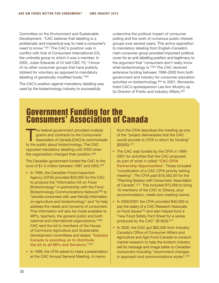Committee on the Environment and Sustainable Development, "CAC believes that labelling is a problematic and impractical way to meet a consumer's need to know."261 The CAC's position was in conflict with that of Consumers International (CI), the umbrella group to which it was a member. In 2002, Julian Edwards of CI told CBC TV, "I know of no other consumer groups that have publicly lobbied for voluntary as opposed to mandatory labelling of genetically modified foods."262

The CAC's position against mandatory labelling was used by the biotechnology industry to successfully

undermine the political impact of consumer polling and the work of numerous public interest groups over several years. This active opposition to mandatory labeling from English-Canada's main consumer group provided important political cover for an anti-labelling position and legitimacy to the argument that "consumers don't really know what biotechnology is."263 The CAC received extensive funding between 1996-2000 from both government and industry for consumer education activities on biotechnology.264 In 2001, Monsanto hired CAC's spokesperson Lee Ann Murphy as its Director of Public and Industry Affairs.265

# Government Funding for the Consumers' Association of Canada

The federal government provided multiple<br>
grants and contracts to the Consumers'<br>
Association of Canada (CAC) to communicate grants and contracts to the Consumers' to the public about biotechnology. The CAC opposed mandatory labelling until 2003 when the organization changed their position.266

The Canadian government funded the CAC to the tune of \$1.3-million between 1997 and 2002.<sup>267</sup>

- In 1996, the Canadian Food Inspection Agency (CFIA) provided \$20,000 for the CAC to produce the "Information Kit on Food Biotechnology" in partnership with the Food Biotechnology Communications Network268 to "provide consumers with user friendly information on agriculture and biotechnology" and "to help address the needs and concerns of consumers. This information will also be made available to MP's, teachers, the general public and both national and international organizations."269 CAC sent the kit to members of the House of Commons Agriculture and Sustainable Development committees and stated, "**Industry Canada is assisting us to distribute the kit to all MPs and Senators**."270
- In 1999, the CFIA asked to make a presentation at the CAC Annual General Meeting. A memo

from the CFIA describes the meeting as one of the "project deliverables that the CAC would provide to CFIA in return for funding" (\$5000).271

- The CAC was funded by the CFIA in 1999- 2001 for activities that the CAC proposed as part of what it called **"CAC-CFIA Partnership Opportunities"**. These included "coordination of a CAC-CFIA priority setting meeting". The CFIA paid \$16,562.65 for the "Planning Session with Consumers' Association of Canada".272 This included \$12,000 to bring 16 members of the CAC to Ottawa, plus accommodation, meals and meeting rooms.
- In 2000/2001 the CFIA provided \$40,000 to pay the salary of a CAC Research Associate on food issues<sup>273</sup> and also helped fund a "new Food Safety Fact Sheet for a series produced by the CAC" (\$1920).274
- In 2000, the CAC got \$82,000 from Industry Canada's Office of Consumer Affairs and Agriculture and Agri-Food Canada to conduct market research to help the biotech industry sell its message and image better to Canadian consumers including "recommend changes in approach and communications styles".275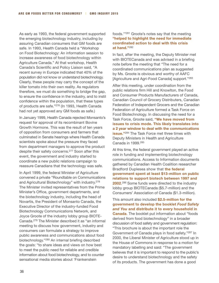As early as 1993, the federal government supported the emerging biotechnology industry, including by assuring Canadian consumers that GM foods are safe. In 1993, Health Canada held a "Workshop on Food Biotechnology: An information session to increase awareness of food biotechnology within Agriculture Canada." At that workshop, Health Canada's Scientific and Policy Liaison said, "A recent survey in Europe indicated that 40% of the population did not know or understand biotechnology. Clearly, these people may carry the concept of the killer tomato into their own reality. As regulators therefore, we must do something to bridge the gap, to ensure the confidence in the industry, and to instil confidence within the population, that these types of products are safe."276 (In 1993, Health Canada had not yet approved any GM foods as safe.)

In January 1999, Health Canada rejected Monsanto's request for approval of its recombinant Bovine Growth Hormone. This was the result of ten years of opposition from consumers and farmers that culminated in Senate hearings where Health Canada scientists spoke about the pressure they faced from department managers to approve the product despite their safety concerns.277 Soon after this event, the government and industry started to coordinate a new public relations campaign to reassure Canadians that the technology was safe.

In April 1999, the federal Minister of Agriculture convened a private "Roundtable on Communications and Agricultural Biotechnology" with industry.278 The Minister invited representatives from the Prime Minister's Office, government departments, and the biotechnology industry, including the head of Novartis, the President of Monsanto Canada, the Executive Director of the industry-funded Food Biotechnology Communications Network, and Joyce Groote of the industry lobby group BIOTE-Canada.279 The Minister described it as "an informal meeting to discuss how government, industry and consumers can formulate a strategy to improve public awareness and communications about food biotechnology."280 An internal briefing described the goals: "to share ideas and views on how best to meet the public need for reliable and credible information about food biotechnology, and to counter sensational media stories about 'Frankenstein

#### foods.'"281 Groote's notes say that the meeting **"helped to highlight the need for immediate coordinated action to deal with this crisis at hand."**<sup>282</sup>

In fact, after the meeting, the Deputy Minister met with BIOTECanada and was advised in a briefing note before the meeting that "The need for a coordinated communications plan as suggested by Ms. Groote is obvious and worthy of AAFC [Agriculture and Agri-Food Canada] support."283

After this meeting, under coordination from the public relations firm Hill and Knowlton, the Food and Consumer Products Manufacturers of Canada, Canadian Council of Grocery Distributers, Canadian Federation of Independent Grocers and the Canadian Federation of Agriculture formed a Task Force on Food Biotechnology. In discussing the need for a Task Force, Groote said, **"We have moved from issues to crisis mode. This likely translates into a 2 year window to deal with the communications issue."**284 The Task Force met three times with Deputy Ministers in Health and Agriculture Canada in 1999.285

At this time, the federal government played an active role in funding and implementing biotechnology communications. Access to Information documents gathered by Canadian Health Coalition researcher Bradford Duplesea show that **the federal government spent at least \$13-million on public relations to support biotech between 1997 and 2002**. 286 Some funds were directed to the industry lobby group BIOTECanada (\$5.7-million) and the Consumers' Association of Canada (\$1.3-million).

This amount also included **\$2.5-million for the government to develop the booklet** *Food Safety and You* **and distribute it to every household in Canada**. The booklet put information about "foods derived from food biotechnology" in a broader discussion of food safety and government regulation: "This brochure is about the important role the Government of Canada plays in food safety."287 In 2000, the Liberal Minister of Agriculture stood up in the House of Commons in response to a motion for mandatory labelling and said: "The government believes that it is important to respond to the public's desire to understand biotechnology and the safety of its products. The government has done a good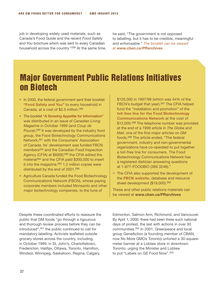job in developing widely used materials, such as Canada's Food Guide and the recent *Food Safety and You* brochure which was sent to every Canadian household across the country."288 At the same time, he said, "The government is not opposed to labelling, but it has to be credible, meaningful and enforceable." *The booklet can be viewed at [www.cban.ca/PRarchives](http://www.cban.ca/PRarchives)*

## Major Government Public Relations Initiatives on Biotech

- In 2000, the federal government sent their booklet **"Food Safety and You"** to every household in Canada, at a cost of \$2.5 million.289
- The booklet **"A Growing Appetite for Information"** was distributed in an issue of *Canadian Living Magazine* in October 1999 (and *Coup de Pouce*).290 It was developed by the industry front group, the Food Biotechnology Communications Network,291 with the Consumers' Association of Canada. Its' development was funded FBCN members292 and the Canadian Food Inspection Agency (CFIA) at \$6000;<sup>293</sup> the CFIA edited the material<sup>294</sup> and the CFIA paid \$300,000 to insert it into the magazine. $295$  1.2 million copies were distributed by the end of 2001.296
- Agriculture Canada funded the Food Biotechnology Communications Network (FBCN), whose paying corporate members included Monsanto and other major biotechnology companies, to the tune of

\$120,000 in 1997/98 (which was 44% of the FBCN's budget that year).<sup>297</sup> The CFIA helped fund the "installation and promotion" of the **toll-free line for the Food Biotechnology Communications Network** at the cost of \$12,000.<sup>298</sup> The telephone number was provided at the end of a 1999 article in *The Globe and Mail*, one of the first major articles on GM foods.299 The article ended, "The federal government, industry and non-governmental organizations have co-operated to put together a toll-free line for consumers. The Food Biotechnology Communications Network has a registered dietician answering questions at 1-877-FOODBIO (366 3246)."

• The CFIA also supported the development of the **FBCN website**, database and resource sheet development (\$19,000).<sup>300</sup>

These and other public relations materials can be viewed at **[www.cban.ca/PRarchives](http://www.cban.ca/PRarchives)**

Despite these coordinated efforts to reassure the public that GM foods "go through a rigourous and thorough review process before they can be introduced",301 the public continued to call for mandatory labelling. Activists leafleted outside grocery stores across the country, including, in October 1999, in St. John's, Charlottetown, Fredericton, Halifax, Ottawa, Toronto, Hamilton, Windsor, Winnipeg, Saskatoon, Regina, Calgary,

Edmonton, Salmon Arm, Richmond, and Vancouver. By April 1, 2000, there had been three such national days of protest, the last with actions in over 30 communities.302 In 2001, Greenpeace and local group GeneAction (a founding member of CBAN, now No More GMOs Toronto) unfurled a 30-squaremeter banner at a Loblaw store in downtown Toronto, urging the Minister and Loblaw to put "Labels on GE Food Now".303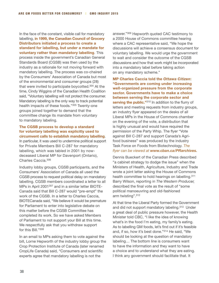In the face of the constant, visible call for mandatory labelling, **in 1999, the Canadian Council of Grocery Distributors initiated a process to create a standard for labelling, but under a mandate for voluntary rather than mandatory labelling**. This process inside the government's Canadian General Standards Board (CGSB) was then used by the industry as a rationale for not moving forward with mandatory labelling. The process was co-chaired by the Consumers' Association of Canada but most of the environmental and consumer groups (28) that were invited to participate boycotted.304 At the time, Cindy Wiggins of the Canadian Health Coalition said, "Voluntary labelling will not protect the consumer. Mandatory labelling is the only way to track potential health impacts of these foods."305 Twenty-one groups joined together to demand that the committee change its mandate from voluntary to mandatory labeling.

#### **The CGSB process to develop a standard for voluntary labelling was explicitly used to circumvent calls to establish mandatory labelling**.

In particular, it was used to undermine political support for Private Members Bill C-287 for mandatory labelling, which was tabled in 2001 by nowdeceased Liberal MP for Davenport (Ontario), Charles Caccia.306

Industry lobby groups, CGSB participants, and the Consumers' Association of Canada all used the CGSB process to request political delay on mandatory labelling. CGSB members coordinated a letter to all MPs in April 2001307 and in a similar letter BIOTE-Canada said that Bill C-287 would "pre-empt" the work of the CGSB. In a letter to Charles Caccia, BIOTECanada said, "We believe it would be premature for Parliament to enter into legislative debate on this matter before the CGSB Committee has completed its work. So we have asked Members of Parliament to not support your Bill at this time. We respectfully ask that you withdraw support for this Bill."308

In an email to MPs asking them to vote against the bill, Lorne Hepworth of the industry lobby group the Crop Protection Institute of Canada (later renamed CropLife Canada) said, "Consumers and scientific experts agree that mandatory labelling is not the

answer."309 Hepworth quoted CAC testimony to a 2000 House of Commons committee hearing where a CAC representative said, "We hope the discussions will achieve a consensus document for voluntary labelling. We would urge the government to wait and consider the outcome of the CGSB discussions and how that work might be incorporated into a mandatory label before taking action on any mandatory scheme."

**MP Charles Caccia told the** *Ottawa Citizen***: "Governments are coming under increasing well-organized pressure from the corporate sector. Governments have to make a choice between serving the corporate sector and**  serving the public."<sup>310</sup> In addition to the flurry of letters and meeting requests from industry groups, an industry flyer appeared on the desks of all Liberal MPs in the House of Commons chamber on the evening of the vote, a distribution that is highly unusual and would have required the permission of the Party Whip. The flyer "Vote against Bill C-287 and support Canada's Agrifood business" was produced by the industry Task Force on Foods from Biotechnology. *The flyer can be viewed at [www.cban.ca/PRarchives](http://www.cban.ca/PRarchives).*

Dennis Bueckert of the Canadian Press described "a cabinet strategy to dodge the issue" when the Ministers of Health, Agriculture, Industry and Trade wrote a joint letter asking the House of Commons health committee to hold hearings on labelling.<sup>311</sup> Barry Wilson, reporting in *The Western Producer,* described the final vote as the result of "some political manoeuvring and old-fashioned arm twisting".312

At that time the Liberal Party formed the Government and did not support mandatory labeling.313 Under a great deal of public pressure however, the Health Minister told CBC, "I like the idea of knowing what's in the food I'm eating, my family's eating. As to labelling GM foods, let's find out if it's feasible and, if so, how it's best done."314 He said, "We should be looking at the question of mandatory labeling… The bottom line is consumers want to have the information and they want to have a choice and to understand what they are eating. I think any government should facilitate that. It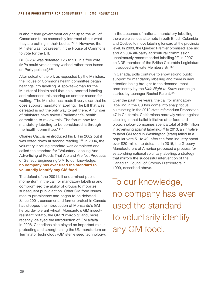is about time government caught up to the will of Canadians to be reasonably informed about what they are putting in their bodies."315 However, the Minister was not present in the House of Commons to vote for the Bill.

Bill C-287 was defeated 126 to 91, in a free vote (MPs could vote as they wished rather than based on Party policies).316

After defeat of the bill, as requested by the Ministers, the House of Commons health committee began hearings into labelling. A spokeswoman for the Minister of Health said that he supported labeling and referenced this hearing as another reason for waiting: "The Minister has made it very clear that he does support mandatory labeling. The bill that was defeated is not the only way to get there. A number of ministers have asked (Parliament's) health committee to review this. The forum now for mandatory labeling to be considered is through the health committee."317

Charles Caccia reintroduced his Bill in 2002 but it was voted down at second reading.318 In 2004, the voluntary labelling standard was completed and called the standard for "Voluntary Labeling And Advertising of Foods That Are and Are Not Products of Genetic Engineering".319 To our knowledge, **no company has ever used the standard to voluntarily identify any GM food**.

The defeat of the 2001 bill undermined public momentum in the call for mandatory labelling and compromised the ability of groups to mobilize subsequent public action. Other GM food issues rose to prominence and began to be debated. Since 2001, consumer and farmer protest in Canada has stopped the introduction of Monsanto's GM herbicide-tolerant wheat, Monsanto's GM insectresistant potato, the GM "Enviropig" and, more recently, delayed the introduction of GM alfalfa. In 2006, Canadians also played an important role in protecting and strengthening the UN moratorium on Terminator technology (GM sterile seed technology). In the absence of national mandatory labelling, there were serious attempts in both British Columbia and Quebec to move labelling forward at the provincial level. In 2003, the Quebec Premier promised labelling and a 2004 all-party agricultural commission unanimously recommended labelling.320 In 2007 an NDP member of the British Columbia Legislature introduced a Private Members Bill.321

In Canada, polls continue to show strong public support for mandatory labelling and there is new attention being brought to the demand, mostprominently by the *Kids Right to Know* campaign started by teenager Rachel Parent.<sup>322</sup>

Over the past five years, the call for mandatory labelling in the US has come into sharp focus, culminating in the 2012 state referendum Proposition 47 in California. Californians narrowly voted against labelling in that ballot initiative after food and biotechnology companies spent a total of \$46-million in advertising against labelling.323 In 2013, an initiative to label GM food in Washington (state) failed in a popular vote 51 to 49, after the food industry spent over \$20-million to defeat it. In 2015, the Grocery Manufacturers of America proposed a process for establishing national voluntary labelling, a strategy that mirrors the successful intervention of the Canadian Council of Grocery Distributors in 1999, described above.

To our knowledge, no company has ever used the standard to voluntarily identify any GM food.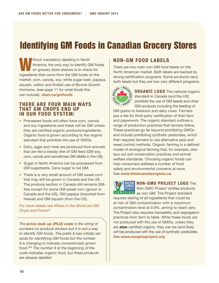# Identifying GM Foods in Canadian Grocery Stores

Ithout mandatory labelling in North<br>America, the only way to identify Gl<br>on grocery store shelves is to check<br> $\frac{1}{2}$ America, the only way to identify GM foods on grocery store shelves is to check for ingredients that come from the GM foods on the market: corn, canola, soy, white sugar beet, papaya, squash, cotton and limited use of Bovine Growth Hormone. (see page 11 for what foods this can include). **cban.ca/gmfoods**

#### **There are four main ways that GM crops end up in our food system:**

- Processed foods will often have corn, canola and soy ingredients and these will be GM unless they are certified organic products/ingredients. Organic food is grown according to the organic standard that prohibits the use of GMOs.
- Dairy, eggs and meat are produced from animals that are fed a steady diet of GM feed (GM soy, corn, canola and sometimes GM alfalfa in the US).
- Sugar in North America can be processed from GM sugarbeets. Cane sugar is not GM.
- There is a very small amount of GM sweet corn that may still be grown in Canada and the US. The produce section in Canada still remains GMfree except for some GM sweet corn (grown in Canada and the US), GM papaya (imported from Hawaii) and GM squash (from the US).

#### *For more details see Where in the World are GM Crops and Foods?*

*The price-look up (PLU) code is the string of numbers on produce stickers but it is not a way to identify GM foods. The prefix 8 was initially set aside for identifying GM foods but the number 8 is changing to indicate conventionally grown food.324 The number 9 at the beginning of the code indicates organic food, but these products are already labelled.* 

## **Non-GM Food Labels**

There are two main non-GM food labels on the North American market. Both labels are backed by strong certification programs. Some products carry both labels but they are two very different programs.



**ORGANIC LOGO** The national organic standard in Canada (and the US) prohibits the use of GM seeds and other GM products including the feeding of

GM grains to livestock and dairy cows. Farmers pay a fee for third-party certification of their farm and paperwork. The organic standard outlines a range of production practices that farmers follow. These practices go far beyond prohibiting GMOs and include prohibiting synthetic pesticides, which then requires farmers to use alternative pest and weed control methods. Organic farming is a defined model of ecological farming that, for example, also lays out soil conservation practices and animal welfare standards. Choosing organic foods can help consumers address a number of food safety and environmental concerns at once. See **[www.thinkcanadaorganic.ca](http://www.thinkcanadaorganic.ca)** 



## **Non-GMO Project logo** The

Non-GMO Project verifies products

VERIFIED as non-GM. The Project standard requires testing of all ingredients that could be at risk of GM contamination with a maximum contamination level at 0.9%, aiming to reach zero. The Project also requires traceability and segregation practices from farm to table. While these foods are not produced with the use of GMOs, unless they are **also** certified organic, they can be (and likely will be) produced with the use of synthetic pesticides. See **[www.nongmoproject.org](http://www.nongmoproject.org)**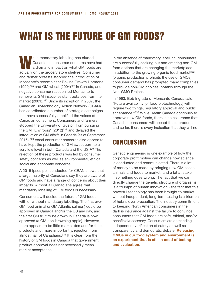# What is the future of GM foods?

Mile mandatory labelling has eluded<br>Canadians, consumer concerns have<br>a dramatic impact on what GM foods Canadians, consumer concerns have had a dramatic impact on what GM foods are actually on the grocery store shelves. Consumer and farmer protests stopped the introduction of Monsanto's recombinant Bovine Growth Hormone  $(1999)^{325}$  and GM wheat  $(2004)^{326}$  in Canada, and negative consumer reaction led Monsanto to remove its GM insect-resistant potatoes from the market (2001).<sup>327</sup> Since its inception in 2007, the Canadian Biotechnology Action Network (CBAN) has coordinated a number of strategic campaigns that have successfully amplified the voices of Canadian consumers. Consumers and farmers stopped the University of Guelph from pursuing the GM "Enviropig" (2012)328 and delayed the introduction of GM alfalfa in Canada (as of September 2015).329 Vocal consumer concerns also appear to have kept the production of GM sweet corn to a very low level in both Canada and the US.<sup>330</sup> The rejection of these products was led by consumer safety concerns as well as environmental, ethical, social and economic concerns.

A 2015 Ipsos poll conducted for CBAN shows that a large majority of Canadians say they are aware of GM foods and have a range of concerns about their impacts. Almost all Canadians agree that mandatory labelling of GM foods is necessary.

Consumers will decide the future of GM foods, with or without mandatory labelling. The first ever GM food animal (a GM Atlantic salmon) could be approved in Canada and/or the US any day, and the first GM fruit to be grown in Canada is now approved (a GM non-browning apple). However, there appears to be little market demand for these products and, more importantly, rejection from almost half of Canadians.331 It is clear from the history of GM foods in Canada that government product approval does not necessarily mean market acceptance.

In the absence of mandatory labelling, consumers are successfully seeking out and creating non-GM food options that are changing the marketplace. In addition to the growing organic food market<sup>332</sup> (organic production prohibits the use of GMOs), consumer demand has prompted many companies to provide non-GM choices, notably through the Non-GMO Project.

In 1993, Bob Ingratta of Monsanto Canada said, "Future availability [of food biotechnology] will require two things, regulatory approval and public acceptance."333 While Health Canada continues to approve new GM foods, there is no assurance that Canadian consumers will accept these products, and so far, there is every indication that they will not.

## **CONCLUSION**

Genetic engineering is one example of how the corporate profit motive can change how science is conducted and communicated. There is a lot of money to be made by bringing new GM seeds, animals and foods to market, and a lot at stake if something goes wrong. The fact that we can directly change the genetic structure of organisms is a triumph of human innovation - the fact that this powerful technology has been brought to market without independent, long-term testing is a triumph of hubris over precaution. The industry commitment to keeping North American consumers in the dark is insurance against the failure to convince consumers that GM foods are safe, ethical, and/or beneficial/necessary. Consumers are demanding independent verification of safety as well as transparency and democratic debate. **Releasing GMOs in our food system and environment is an experiment that is still in need of testing and evaluation**.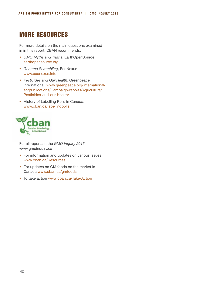## More Resources

For more details on the main questions examined in in this report, CBAN recommends:

- *GMO Myths and Truths*, EarthOpenSource [earthopensource.org](http://earthopensource.org)
- *Genome Scrambling*, EcoNexus [www.econexus.info](http://www.econexus.info)
- *Pesticides and Our Health*, Greenpeace International, [www.greenpeace.org/international/](http://www.greenpeace.org/international/en/publications/Campaign-reports/Agriculture/Pesticides-and-our-Health/) [en/publications/Campaign-reports/Agriculture/](http://www.greenpeace.org/international/en/publications/Campaign-reports/Agriculture/Pesticides-and-our-Health/) [Pesticides-and-our-Health/](http://www.greenpeace.org/international/en/publications/Campaign-reports/Agriculture/Pesticides-and-our-Health/)
- History of Labelling Polls in Canada, www.cban.ca/labellingpolls



For all reports in the *GMO Inquiry 2015* www.gmoinquiry.ca

- For information and updates on various issues [www.cban.ca/Resources](http://www.cban.ca/Resources)
- For updates on GM foods on the market in Canada [www.cban.ca/gmfoods](http://www.cban.ca/gmfoods)
- To take action [www.cban.ca/Take-Action](http://www.cban.ca/Take-Action)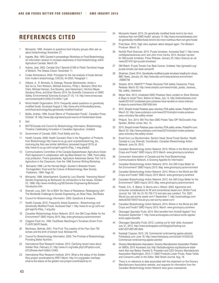## **References Cited**

- 1 Monsanto. 1995. Answers to questions food industry groups often ask us about biotechnology. November 27.
- 2 Ingratta, Bob. 1993. Quoted in proceedings: Workshop on Food Biotechnology, An information session to increase awareness of food biotechnology within Agriculture Canada, March 29.
- 3 Aubrey, Jack. 2003. Canada Gov't Spends \$13M to Polish Tarnished Image of Biotech. The Ottawa Citizen. November 11.
- 4 Codex Alimentarius. 2003. Principles for the risk analysis of foods derived from modern biotechnology. CAC/GL 44-2003. Paragraph 1.
- 5 Hilbeck, A., R. Binmelis, N. Defarge, Ricarda Steinbrecher, Andra´s Sze´ka´cs, Fern Wickson, Michael Antoniou, Philip L. Bereano, Ethel Ann Clark, Michael Hansen, Eva Novotny, Jack Heinemann, Hartmut Meyer, Vandana Shiva, and Brian Wynne. 2015. No Scientific Consensus on GMO Safety. Environmental Sciences Europe 27 (4): 1-6. http://www.enveurope. com/content/pdf/s12302-014-0034-1.pdf
- 6 World Health Organization. 2015. Frequently asked questions on genetically modified foods. Accessed August 3. http://www.who.int/foodsafety/areas\_ work/food-technology/faq-genetically-modified-food/en/
- 7 Baillie, Andrea. 1999. Suzuki Warns of "Frankenstein Foods", Canadian Press. October 18. http://www.iatp.org/news/suzuki-warns-of-frankenstein-foods
- 8 Ibid.
- 9 BIOTECanada and Council for Biotechnology Information. Biotechnology Timeline: Celebrating Innovation in Canadian Agriculture. Undated.
- 10 Government of Canada. 2000. Food Safety and You.
- 11 Health Canada. 2008. Health Canada's Role in the Regulation of Products from Biotechnology http://www.hc-sc.gc.ca/sr-sr/pubs/biotech/reg\_bio\_ mod-eng.php Also see similar definitions (accessed August 2015) at http://www.hc-sc.gc.ca/fn-an/gmf-agm/fs-if/faq\_1-eng.php#p2
- 12 Communications Committee of the Canada-Saskatchewan Agriculture Green Plant Agreement in collaboration with Ag-West Biotech Inc. 1996. Food safety, crop protection, Prairie grasslands, Agriculture Awareness Series. Part 1of 4, Agriculture in the Classroom, from the 1996 Summer Writing Workshop.
- 13 Monsanto.1998. Let the Harvest Begin. Quoted in Brewster Kneen. Farmageddon: Food and the Culture of Biotechnology. New Society Publishers, 1999. Page 42.
- 14 Monsanto. 1988. Advertisement. Quoted by Lucy Sharratt, "Improving Nature" Genetic Engineering as Biohazard: An Introduction to the Issues. October 23, 1998. http://www.mindfully.org/GE/Genetic-Engineering-Biohazard-Introduction.htm
- 15 Sharratt, Lucy. 2001. No to BGH: Ten Years of Resistance. Redesigning Life?: The Worldwide Challenge to Genetic Engineering, ed. Brian Tokar, Zed Books.
- 16 Council for Biotechnology Information. 2000. Questions & Answers.
- 17 Health Canada. 2015. Frequently Asked Questions Biotechnology and Genetically Modified Foods. Accessed Sept 1. http://www.hc-sc.gc.ca/fn-an/ gmf-agm/fs-if/faq\_1-eng.php
- 18 Canadian Biotechnology Action Network. 2015. Are GM Crops Better for the Environment? GMO Inquiry 2015. May. www.gmoinquiry.ca/environment
- 19 Calgene Fresh Inc. 1995. FactSheet: MacGregor's Tomatoes Grown From FLAVR SAVR Seeds.
- 20 Martineau, Belinda. 2001. First Fruit: The creation of the Flavr Savr TM tomato and the birth of biotech food. McGraw-Hill.
- 21 Council for Biotechnology Information. 2000. The Promise of Biotechnology: Providing Better Nutrition.
- 22 International Rice Research Institute. 2013. Clarifying recent news about Golden Rice. February 21. http://www.irri.org/index.php%3Foption=com\_ k2%26view=item%26id=12483.
- 23 International Rice Research Institute. 2014. What is the status of the Golden Rice project coordinated by IRRI? March. http://irri.org/golden-rice/faqs/ what-is-the-status-of-the-golden-rice-project-coordinated-by-irri
- 24 Monsanto Hawaii. 2015. Do genetically modified foods tend to be more nutritious than non-GMO foods? January 14. http://www.monsantohawaii.com/ do-genetically-modified-foods-tend-to-be-more-nutritious-than-non-gmo-foods/
- 25 Pratt,Sean. 2015. High oleic soybean debut delayed again. The Western Producer. March 12.
- 26 Norfolk Plant Sciences. 2015. Purple tomatoes. Accessed Sept 7. http://www. norfolkplantsciences.com/ and John Innis Centre. 2014. Bumper harvest for GM purple tomatoes, Press Release, January 25. https://www.jic.ac.uk/ news/2014/01/gm-purple-tomatoes/
- 27 GM Watch. Purple Tomato Can Beat Cancer. Undated. http://gmwatch.org/ purple-tomato-can-beat-cancer#5
- 28 Shukman, David. 2014. Genetically-modified purple tomatoes heading for shops, BBC News. January 24. http://www.bbc.com/news/science-environment -25885756
- 29 Simplot. 2015. INNATE™ Potato Receives FDA Safety Clearance, Press Release. March 20. http://www.simplot.com/news/innate\_potato\_receives\_ fda\_safety\_clearance
- 30 Meyer Nick. 2015. Unlabeled GMO Potatoes Have Landed on Store Shelves: 6 Steps to Avoid Them, Before Its News. July 14. http://beforeitsnews.com/ health/2015/07/unlabeled-gmo-potatoes-have-landed-on-store-shelves-6-steps-to-avoid-them-2581008.html
- 31 2015. Simplot Innate Potatoes pass voluntary FDA safety review, PotatoPro.com. March 22. http://www.potatopro.com/news/2015/simplot-innate-potatoespass-voluntary-fda-safety-review
- 32 Philpott, Tom. 2014. Will This New GMO Potato Take Off? McDonald's Has Spoken, Mother Jones. Nov. 14.
- 33 2015. Simplot Innate Potatoes pass voluntary FDA safety review, PotatoPro.com. March 22. http://www.potatopro.com/news/2015/simplot-innate-potatoespass-voluntary-fda-safety-review
- 34 Email from Luc Bourbonnière, Section Head, Novel Foods Section, Health Canada to Lucy Sharratt, Coordinator, Canadian Biotechnology Action Network. June 24, 2015.
- 35 Canadian Biotechnology Action Network. 2015. Where in the World are GM Crops and Foods? GMO Inquiry 2015 March. www.gmoinquiry.ca/where
- 36 Consumers' Association of Canada and the Food Biotechnology Communications Network, A Growing Appetite for Information
- 37 Canadian Biotechnology Action Network, 2015. Are GM Crops Better for the Environment? GMO Inquiry 2015. May. www.gmoinquiry.ca/environment
- 38 Canadian Biotechnology Action Network. 2015. Where in the World are GM Crops and Foods? GMO Inquiry 2015 March. www.gmoinquiry.ca/where
- 39 Canadian Biotechnology Action Network. 2015. Are GM Crops Better for the Environment? GMO Inquiry 2015. May. www.gmoinquiry.ca/environment
- 40 Powell, D.A., K. Blaine, S. Morris and J. Wilson. 2003. Agronomic and consumer considerations for Bt and conventional sweet-corn. British Food Journal, Vol. 105. No.10. Pp 700-713 and also see Lambert, Tim. 2007. Would you eat wormy sweet corn? September 7. http://scienceblogs.com/ deltoid/2007/09/07/would-you-eat-wormy-sweet-corn/
- 42 Canadian Biotechnology Action Network. 2015. Where in the World are GM Crops and Foods? GMO Inquiry 2015. March. www.gmoinquiry.ca/where
- 43 Okanagan Specialty Fruits. 2015. Who benefits from Arctic® Apples? You! Accessed September 7. http://www.arcticapples.com/about-arctic-apples/ arctic-apple-benefits
- 44 Okanagan Speciality Fruits. 2012. Looking out for kids' diets. Accessed July 31, 2015. http://www.arcticapples.com/blog/joel/looking-outkids%E2%80%99-diets
- 45 Kayleigh Csaszar. 2015. US: Commercial nonbrowning apples planted, Freshplaza.com June 18. http://www.freshplaza.com/article/141633/US-Commercial-nonbrowning-apples-planted
- 46 Grocery Manufacturers Association, Grocery Manufacturers Association Position on GMOs. 2015 Accessed July. http://factsaboutgmos.org/disclosure-statement Also see Bailey, Pamela G. President and CEO Grocery Manufacturers Association Washington. 2014.11 GMO Products Lower Prices, Raise Yields and Concerns Letter to the Editor, Wall Street Journal. Aug. 18.
- 47 There is no reference to data associated with this statement on the Grocery Manufacturers Association website, and requests for information from the Canadian Biotechnology Action Network have gone unanswered.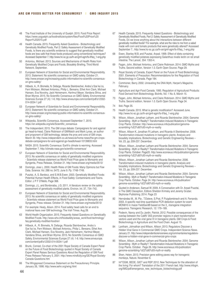- 48 The Food Institute of the University of Guelph. 2015. Food Price Report https://www.uoguelph.ca/foodinstitute/system/files/Food%20Price%20 Report%202015.pdf
- Health Canada. 2015. Frequently Asked Questions Biotechnology and Genetically Modified Foods, Part 2: Safety Assessment of Genetically Modified Foods, Is there any scientific evidence to suggest that genetically modified foods are less safe that those foods produced using conventional techniques? Accessed September 7. http://www.hc-sc.gc.ca/fn-an/gmf-agm/fs-if/faq\_1-eng.php
- 50 Antoniou, Michael. 2013. Sources and Mechanisms of Health Risks from Genetically Modified Crops and Foods. Biosafety Briefing, Third World Network. September.
- 51 European Network of Scientists for Social and Environmental Responsibility. 2013. Statement: No scientific consensus on GMO safety. October 21. http://www.ensser.org/increasing-public-information/no-scientific-consensuson-gmo-safety/
- 52 Hilbeck, A., R. Binmelis, N. Defarge, Ricarda Steinbrecher, Andra´s Sze´ka´cs, Fern Wickson, Michael Antoniou, Philip L. Bereano, Ethel Ann Clark, Michael Hansen, Eva Novotny, Jack Heinemann, Hartmut Meyer, Vandana Shiva, and Brian Wynne. 2015. No Scientific Consensus on GMO Safety. Environmental Sciences Europe 27 (4): 1-6. http://www.enveurope.com/content/pdf/s12302- 014-0034-1.pdf
- 53 European Network of Scientists for Social and Environmental Responsibility. 2013. Statement: No scientific consensus on GMO safety. October 21. http://www.ensser.org/increasing-public-information/no-scientific-consensuson-gmo-safety/
- 54 Wikipedia, Scientific Consensus. Accessed September 7, 2015. https://en.wikipedia.org/wiki/Scientific\_consensus
- 55 The Independent. 2015. The GM crops debate: Campaigners for and against go head-to-head, Claire Robinson of GMWatch and Mark Lynas, an author and proponent of GM technology, debate the pros and cons of GM crops. March 30. http://www.independent.co.uk/news/uk/home-news/the-gm-cropsdebate-campaigners-for-and-against-go-headtohead-10139833.html
- 56 NASA. 2015. Scientific Consensus: Earth's climate is warming. Accessed September 7. http://climate.nasa.gov/scientific-consensus/
- 57 European Network of Scientists for Social and Environmental Responsibility. 2013. No scientific consensus on safety of genetically modified organisms - Scientists release statement as World Food Prize goes to Monsanto and Syngenta, Press Release, October 21. http://www.ensser.org/media/0513/
- 58 Domingo, Jose L. 2000. Health Risks of GM Foods: Many Opinions but Few Data. Science. Vol. 288 no. 5472. June 9. Pp. 1748-1749.
- 59 Pusztai, A, S. Bardocz, and S.W.B.Ewen. 2003. Genetically Modified Foods: Potential Human Health Effects, in Food Safety: Contaminants and Toxins. Editor: J P F D'Mello. Page 368.
- 60 Domingo, J.L. and Bordonaba, J.G. 2011. A literature review on the safety assessment of genetically modified plants. Environ. Int. 37, 734–742.
- 61 European Network of Scientists for Social and Environmental Responsibility. 2013. No scientific consensus on safety of genetically modified organisms - Scientists release statement as World Food Prize goes to Monsanto and Syngenta, Press release. October 21. http://www.ensser.org/media/0513/
- 62 For example: Healy, Alison. 2014. Food safety head calls for an end to irrational fears over GM technology. The Irish Times. Aug 28.
- 63 World Health Organization. 2015. Frequently Asked Questions on Geneticallly Modified Foods. http://www.who.int/foodsafety/areas\_work/food-technology/ faq-genetically-modified-food/en/
- 64 Hilbeck, A., R. Binmelis, N. Defarge, Ricarda Steinbrecher, Andra´s Sze´ka´cs, Fern Wickson, Michael Antoniou, Philip L. Bereano, Ethel Ann Clark, Michael Hansen, Eva Novotny, Jack Heinemann, Hartmut Meyer, Vandana Shiva, and Brian Wynne. 2015. No Scientific Consensus on GMO Safety. Environmental Sciences Europe 27 (4): 1-6. http://www.enveurope. com/content/pdf/s12302-014-0034-1.pdf
- Brunk, Conrad, Co-chair of the 2001 Royal Society of Canada Expert Panel on the Future of Food Biotechnology quoted in Royal Society of Canada Expert Panel Raises Serious Questions About the Regulation of GM Food Press Release February 5, 2001. http://www.mindfully.org/GE/Royal-Society-Canada-Questions.htm
- 66 The Wingspread Consensus Statement on the Precautionary Principle. January 26, 1998. http://www.sehn.org/wing.html
- 67 Health Canada. 2015. Frequently Asked Questions Biotechnology and Genetically Modified Foods, Part 2: Safety Assessment of Genetically Modified Foods, Do we know anything about the interactions between different genetically modified foods? For example, what are the risks to me from a salad made with corn and tomato products that were genetically altered? Accessed September 7.. http://www.hc-sc.gc.ca/fn-an/gmf-agm/fs-if/faq\_1-eng.php
- 68 Ewen, Stanley W.B. and Pusztai, Arpad. 1999. Effect of diets containing genetically modified potatoes expressing Galanthus nivalis lectin on rat small intestine. The Lancet, 354: 1353-4.
- 69 Fagan, John, Michael Antoniou, and Claire Robinson. 2014. GMO Myths and Truths. Second edition, Version 1.0. Earth Open Source. Page 29.
- 70 Royal Society of Canada, Expert Panel on the Future of Food Biotechnology. 2001. Elements of Precaution: Recommendations for the Regulation of Food Biotechnology in Canada. Page 184.
- 71 Commoner, Barry. 2002. Unraveling the DNA Myth, Harper's Magazine. February.
- 72 Agriculture and Agri-Food Canada. 1995. Regulation of Agricultural Products: Food Derived from Biotechnology. BioInfo, Vol. 1 No. 6, March 15.
- 73 Fagan, John, Michael Antoniou, and Claire Robinson. 2014. GMO Myths and Truths. Second edition, Version 1.0. Earth Open Source. Page 34.
- 74 Ibid. Page 35.
- 75 Health Canada. 2015. What is genetic modification? Accessed June. http://www.hc-sc.gc.ca/fn-an/gmf-agm/fs-if/faq\_1-eng.php
- 76 Wilson, Allison, Jonathan Latham, and Ricarda Steinbrecher. 2004. Genome Scrambling - Myth or Reality?: Transformation-Induced Mutations in Transgenic Crop Plants. October. http://www.econexus.info/publication/genomescrambling-%E2%80%93-myth-or-reality
- 77 Wilson, Allison K, Jonathan R Latham, and Ricarda A Steinbrecher. 2006. Transformation-induced mutations in transgenic plants: Analysis and biosafety implications. Biotechnology and Genetic Engineering Reviews – Vol. 23, pp. 209-237. December.
- 78 Wilson, Allison, Jonathan Latham and Ricarda Steinbrecher. 2004. Genome Scrambling - Myth or Reality?: Transformation-Induced Mutations in Transgenic Crop Plants. October. Page20. http://www.econexus.info/publication/genomescrambling-%E2%80%93-myth-or-reality
- 79 Wilson, Allison, Jonathan Latham and Ricarda Steinbrecher. 2006. Transformation-induced mutations in transgenic plants: Analysis and biosafety implications. Biotechnology and Genetic Engineering Reviews – Vol. 23, pp. 209-237. December.
- 80 Wilson, Allison, Jonathan Latham and Ricarda Steinbrecher. 2004. Genome Scrambling - Myth or Reality?: Transformation-Induced Mutations in Transgenic Crop Plants. October. Page 24. http://www.econexus.info/publication/ genome-scrambling-%E2%80%93-myth-or-reality
- 81 Quoted in Anderson, Samuel W. 2009. A Conversation with Dr. Arpad Pusztai, in The GMO Deception, Editors Sheldon Krimsky and Jeremy Gruber. Skyhorse Publishing. 2014. Page 23
- 82 Hernández M., M. Pla, T. Esteve, S. Prat, P. Puigdomènech and A. Ferrando. 2003. A specific real-time quantitative PCR detection system for event MON810 in maize YieldGard® based on the 3\_-transgene integration sequence. Transgenic Research, 12: 179–189.
- 83 Podevin, Nancy and Du Jardin, Patrick. 2012. Possible consequences of the overlap between the CaMV 35S promoter regions in plant transformation vectors used and the viral gene VI in transgenic plants. GM Crops & Food: Biotechnology in Agriculture and the Food Chain. August 15.
- 84 Lantham, Johnathan and Wilson, Allison. 2013. Regulators Discover a Hidden Viral Gene in Commercial GMO Crops. Independent Science News. January 21. http://www.independentsciencenews.org/commentaries/regulatorsdiscover-a-hidden-viral-gene-in-commercial-gmo-crops
- 85 Wilson, Allison, Jonathan Latham and Ricarda Steinbrecher. 2004. Genome Scrambling - Myth or Reality?: Transformation-Induced Mutations in Transgenic Crop Plants. October. Page 26. http://www.econexus.info/publication/ genome-scrambling-%E2%80%93-myth-or-reality
- 86 Shen, Helen. 2013. Precision gene editing paves way for transgenic monkeys, Nature. November 6.
- 87 Inf"OGM, BEDE, GIET and RSP. 2012. New Techniques for the alteration of the living: For whom? Translation of the 2011 French text. http://www.infogm. org/IMG/pdf/emergence\_new\_techniques\_biotechnology.pdf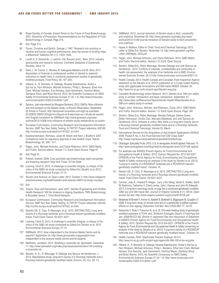- 88 Royal Society of Canada, Expert Panel on the Future of Food Biotechnology. 2001. Elements of Precaution: Recommendations for the Regulation of Food Biotechnology in Canada. Page 215.
- 89 Ibid. Page 214.
- 90 Turner, Christina and Spilich, George J. 1997. Research into smoking or nicotine and human cognitive performance: does the source of funding make a difference? Addiction 92 (11): 1423–1426.
- Lundh A, S. Sismondo, J. Lexchin, OA. Busuioc and L. Bero. 2012. Industry sponsorship and research outcome. Cochrane Database of Systematic Reviews, Issue 12.
- 92 Diels J., M. Cunha, C. Manaia, B. Sabugosa-Madeira and M. Silva. 2011. Association of financial or professional conflict of interest to research outcomes on health risks or nutritional assessment studies of genetically modified products. Food Policy. 36: 197–203.
- 93 Hilbeck, A., R. Binmelis, N. Defarge, Ricarda Steinbrecher, Andra´s Sze´ka´cs, Fern Wickson, Michael Antoniou, Philip L. Bereano, Ethel Ann Clark, Michael Hansen, Eva Novotny, Jack Heinemann, Hartmut Meyer, Vandana Shiva, and Brian Wynne. 2015. No Scientific Consensus on GMO Safety. Environmental Sciences Europe 27 (4): 1-6. http://www.enveurope. com/content/pdf/s12302-014-0034-1.pdf
- Spiroux, Joel interviewed by Morgane Bertrand. 2012. GMOs: Nine criticisms and nine answers on the Seralini study, Le Nouvel Observateur. September 20 Article in French: http://tempsreel.nouvelobs.com/ogm-le-scandale/ 20120920.OBS3130/ogm-9-critiques-et-9-reponses-sur-l-etude-de-seralini. html English translation by GMWatch http://www.gmwatch.org/news/ archive/2012/14306-nine-criticisms-of-seralini-study-answered-by-co-author
- 95 European Commission, Community Research and Development Information Service. GMP Two Year Safety Testing, G-TWYST Project reference: 632165 http://cordis.europa.eu/project/rcn/191522\_en.html
- 96 Kalaitzandonakes, Nicholas, Julian M. Alston and Kent J. Bradford. 2007. Compliance costs for regulatory approval of new biotech crops. Nature Biotechnology, 25, 509 – 511.
- 97 Fagan, John, Michael Antoniou, and Claire Robinson. 2014. GMO Myths and Truths. Second edition, Version 1.0. Earth Open Source. Page 91.
- 98 Ibid. Page 91.
- 99 Pollack, Andrew. 2009. Crop scientists say biotechnology seed companies are thwarting research. New York Times 19 Feb 2009.
- 100 Loening, Ulrich E. 2015. A challenge to scientific integrity: a critique of the critics of the GMO rat study conducted by Gilles-Eric Séralini *et al*. 2012. Environmental Sciences Europe. 27:13.
- 101 Seralini and Science: an Open Letter. 2012. October 2. http://www.independentsciencenews.org/health/seralini-and-science-nk603-rat-study-roundup/
- 102 Ibid.
- 103 Traavik, Terje and Heinemann, Jack. 2007. Genetic Engineering and Omitted Health Research: Still No Answers to Ageing Questions. TWN Biotechnology & Biosafety Series 7, Third World Network.
- 104 European Commission, Community Research and Development Information Service. GMP Two Year Safety Testing, G-TWYST Project reference: 632165 http://cordis.europa.eu/project/rcn/191522\_en.html
- 105 Séralini GE, E. Clair, R. Mesnage, *et al*. 2012. [RETRACTED:] Long term toxicity of a Roundup herbicide and a Roundup-tolerant genetically modified maize. Food Chem Toxicol. 50:4221-4231.
- 106 Loening, Ulrich E. 2015. A challenge to scientific integrity: a critique of the critics of the GMO rat study conducted by Gilles-Eric Séralini *et al.* 2012. Environmental Sciences Europe. 27:13.
- 107 GMWatch. 2012. How independent is the Science Media Centre and its experts? September 24. http://www.gmoseralini.org/gmwatch-howindependent-is-the-science-media-centre-and-its-experts/
- 108 Matthews, Jonathan. 2012. Smelling a corporate rat. Spinwatch. December 11. http://www.spinwatch.org/index.php/issues/science/item/164-smellinga-corporate-rat
- 109 Séralini, G.-E., R. Mesnage, N. Defarge and Spiroux de Vendômois, J. 2014. Republished study: long-term toxicity of a Roundup herbicide and a Roundup-tolerant genetically modified maize. Environ. Sci. Eur. 26, 13.
- 110 GMWatch. 2013. Journal retraction of Séralini study is illicit, unscientific, and unethical. November 28. http://www.gmwatch.org/index.php/news/ archive/2013/15184-journal-retraction-of-Séralini-study-is-illicit-unscientificand-unethical
- 111 Hayes A. Wallace, Editor-in Chief, Food and Chemical Toxicology. 2013. Letter to Gilles Eric Séralini, November 19. http://www.gmwatch.org/files/ Letter\_AWHayes\_GES.pdf
- 112 Fagan, John, Michael Antoniou, and Claire Robinson. 2014. GMO Myths and Truths. Second edition, Version 1.0. Earth Open Source.
- 113 Séralini, Gilles-Eric, Robin Mesnage, Nicolas Defarge and Joël Spiroux de Vendômois.. 2014. Conflicts of interests, confidentiality and censorship in health risk assessment: the example of an herbicide and a GMO. Environmental Sciences Europe, 26:13 http://www.enveurope.com/content/26/1/13
- 114 Health Canada. 2012. Health Canada and Canadian Food Inspection Agency statement on the Séralini et al. (2012) publication on a 2-year rodent feeding study with glyphosate formulations and GM maize NK603. October 25. http://www.hc-sc.gc.ca/fn-an/gmf-agm/Séralini-eng.php
- 115 Canadian Biotechnology Action Network. 2012. Séralini et al. GM corn safety study in context: Introduction and basic comparison. September 27. http://www.cban.ca/Resources/Topics/Human-Health-Risks/Seralini-et-al.- GM-corn-safety-study-in-context
- 116 Fagan, John, Antoniou, Michael, and Robinson, Claire. 2014. GMO Myths and Truths. Second edition, Version 1.0. Earth Open Source. Page 149.
- 117 Séralini, Gilles-Eric, Robin Mesnage, Nicolas Defarge, Steeve Gress, Didier Hennequin, Emilie Clair, Manuela Malatesta, and Joël Spiroux de Vendômois. 2013. Answers to critics: Why there is a long term toxicity due to a Roundup-tolerant genetically modified maize and to a Roundup herbicide. Food and Chemical Toxicology, Volume 53. March
- 118 International Service for the Acquisition of Agri-biotech Applications (ISAAA). 2009. Pocket K No. 3: Are Food Derived from GM Crops Safe? http://isaaa.org/resources/publications/pocketk/3/default.asp
- 119 Okanagan Speciality Fruits. 2015. U.S. to deregulate Arctic® apples! February 13. http://www.arcticapples.com/blog/neal/us-deregulate-arctic%C2%AE-apples
- 120 For example see ANSES (French Agency for Food Environmental and Occupational Health & Safety). 2012. Opinion Request No. 2012-SA-0227. OPINION of the French Agency for Food, Environmental and Occupational Health & Safety concerning an analysis of the study by Séralini et al. (2012) "Long term toxicity of a ROUNDUP herbicide and a ROUNDUP-tolerant genetically modified maize". October 19.
- 121 Séralini GE, E. Clair, R. Mesnage et al. 2012. [RETRACTED:] Long term toxicity of a Roundup herbicide and a Roundup-tolerant genetically modified maize. Food Chem Toxicol. 50:4221-4231.
- 122 Carman, Judy A., Howard R. Vlieger, Larry J.Ver Steeg, Veryln E. Sneller, Garth W. Robinson, Catherine A. Clinch-Jones, Julie I. Haynes and John W. Edwards. 2013. A long-term toxicology study on pigs fed a combined genetically modified (GM) soy and GM maize diet. Journal of Organic Systems 8 (1): 38-54. Open access full text: http://www.organic-systems.org/journal/81/8106.pdf
- 123 Malatesta M Boraldi F, Annovi G, Baldelli B, Battistelli S, Biggiogera M, Quaglino D. 2008. A long-term study on female mice fed on a genetically modified soybean: effects on liver ageing. Histochem Cell Biol. Nov;130(5):967-77. Jul 22.
- 124 Sakamoto Y, Tada Y, Fukumori N, et al. [A 104-week feeding study of genetically modified soybeans in F344 rats]. Shokuhin Eiseigaku Zasshi J Food Hyg Soc Jpn. 2008;49:272–82. [Article in Japanese] See also discussion of Sakamoto in ANSES (French Agency for Food Environmental and Occupational Health & Safety). 2012. Opinion Request No. 2012-SA-0227. OPINION of the French Agency for Food, Environmental and Occupational Health & Safety concerning an analysis of the study by Séralini et al. (2012) "Long term toxicity of a ROUNDUP herbicide and a ROUNDUP-tolerant genetically modified maize". October 19.
- 125 Health Canada. 2000. Glyphosate Tolerant Soybean 40-3-2 http://www.hc-sc.gc.ca/fn-an/gmf-agm/appro/ofb-096-100-d-rev-eng.php
- 126 Hilbeck, A., R. Binmelis, N. Defarge, Ricarda Steinbrecher, Andra´s Sze´ka´cs, Fern Wickson, Michael Antoniou, Philip L. Bereano, Ethel Ann Clark, Michael Hansen, Eva Novotny, Jack Heinemann, Hartmut Meyer, Vandana Shiva, and Brian Wynne. 2015. No Scientific Consensus on GMO Safety. Environmental Sciences Europe 27 (4): 1-6. http://www.enveurope.com/ content/pdf/s12302-014-0034-1.pdf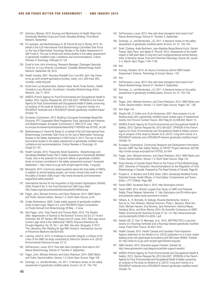- 127 Antoniou, Michael. 2013. Sources and Mechanisms of Health Risks from Genetically Modified Crops and Foods. Biosafety Briefing. Third World Network. September.
- 128 For example, see Bartholomaeus A, W. Parrott W and G. Bondy. 2013. On behalf of the ILSI International Food Biotechnology Committee Task Force on the Use of Mammalian Toxicology Studies in the Safety Assessment of GM Foods K. The use of whole food animal studies in the safety assessment of genetically modified crops: Limitations and recommendations. Critical Reviews in Toxicology. 43(Suppl 2):1-24.
- 129 Email to from John Armstrong, Research Manager, Okanagan Specialty Fruits Inc. to Lucy Sharratt, Coordinator, Canadian Biotechnology Action Network. September 28, 2012.
- 130 Health Canada. 2001. Roundup Ready® Corn Line 603. April. http://www. hc-sc.gc.ca/fn-an/gmf-agm/appro/roundup\_ready\_corn\_603-mais\_603\_ roundup\_ready-eng.php
- 131 Email from Luc Bourbonnière, Section Head, Novel Foods Section, Health Canada to Lucy Sharratt, Coordinator, Canadian Biotechnology Action Network, July 17, 2015.
- 132 ANSES (French Agency for Food Environmental and Occupational Health & Safety). 2012. Opinion Request No. 2012-SA-0227. OPINION of the French Agency for Food, Environmental and Occupational Health & Safety concerning an analysis of the study by Séralini et al. (2012) "Long term toxicity of a ROUNDUP herbicide and a ROUNDUP-tolerant genetically modified maize". October 19.
- 133 European Commission. 2013. Building a European Knowledge Based Bio-Economy, FP7 Cooperation Work Programme: Food, Agriculture and Fisheries, and Biotechnologies. European Commission C 3953 of 27 June. http:// ec.europa.eu/research/participants/data/ref/fp7/192042/b-wp-201302\_en.pdf
- 134 Bartholomaeus A, Parrott W, Bondy G, on behalf of the ILSI International Food Biotechnology Committee Task Force on the Use of Mammalian Toxicology Studies in the Safety Assessment of GM Foods K. 2013. The use of whole food animal studies in the safety assessment of genetically modified crops: Limitations and recommendations. *Critical Reviews in Toxicology*. 43 (Suppl 2):1-24.
- 135 Health Canada. 2015. Frequently Asked Questions Biotechnology and Genetically Modified Foods, Part 2: Safety Assessment of Genetically Modified Foods, How is the potential for long term effects of genetically modified foods on humans considered in the safety assessment process? Accessed September 7. http://www.hc-sc.gc.ca/fn-an/gmf-agm/fs-if/faq\_1-eng.php
- 136 Monsanto. 2015. Commonly asked questions about the food safety of GMOs, In addition to animal feeding studies, are human clinical trials used to test the safety of biotech (GM) crops? http://www.monsanto.com/newsviews/ pages/food-safety.aspx#q7
- 137 International Service for the Acquisition of Agri-biotech Applications (ISAAA). 2009. Pocket K No. 3: Are Food Derived from GM Crops Safe? http://isaaa.org/resources/publications/pocketk/3/default.asp
- 138 Fagan, John, Michael Antoniou and Claire Robinson. 2014. GMO Myths and Truths. Second edition, Version 1.0. Earth Open Source. p144
- 139 Codex Alimentarius. 2000. Codex safety aspects of genetically modified foods of plant origin, Report of a Joint FAO/WHO Expert Consultation on Foods Derived from Biotechnology 29 May – 2 June.
- 140 See Fagan, John, Terje Traavik and Thomas Bøhn. 2015. The Seralini affair: degeneration of Science to Re-Science? Environ Sci Eur 27:19 and Andreollo, NA, EF Santos, MR Araújo and LR Lopes. 2012. Rat's age versus human's age: what is the relationship? ABCD. Arquivos Brasileiros de Cirurgia Digestiva. Vol. 25, No.1. Jan./Mar. See also: Sengupta, P. 2013. The Laboratory Rat: Relating Its Age With Human's. International Journal of Preventive Medicine.4(6):624-630.
- 141 Loening, Ulrich E. 2015. A challenge to scientific integrity: a critique of the critics of the GMO rat study conducted by Gilles-Eric Séralini et al. (2012) Environmental Sciences Europe. 27:13.
- 142 DeFrancesco, Laura. 2013. How safe does transgenic food need to be? Nature Biotechnology. Volume 31. Number 9. September.
- 143 Fagan, John, Michael Antoniou and Claire Robinson. 2014. GMO Myths and Truths. Second edition, Version 1.0. Earth Open Source. Page 109.
- 144 Domingo, J.L. and Bordonaba, J.G. 2011. A literature review on the safety assessment of genetically modified plants. Environ. Int. 37, 734–742.
- 145 DeFrancesco, Laura. 2013. How safe does transgenic food need to be? Nature Biotechnology. Volume 31. Number 9. September.
- 146 Domingo, J.L. and Bordonaba, J.G. 2011. A literature review on the safety assessment of genetically modified plants. Environ. Int. 37, 734–742.
- 147 Snell, Chelsea, Aude Bernheim, Jean-Baptiste Bergé,Marcel Kuntz, Gérard Pascal, Alain Paris, and Agnès E. Ricroch. 2012. Assessment of the health impact of GM plant diets in long-term and multigenerational animal feeding trials: A literature review. Food and Chemical Toxicology, Volume 50, Issues 3–4, March–April. Pages 1134–1148.
- 148 Ibid.
- 149 Krimsky, Sheldon. 2015. An Illusory Consensus behind GMO Health Assessment. Science, Technology & Human Values, 1-32.
- 150 Ibid.
- 151 DeFrancesco, Laura. 2013. How safe does transgenic food need to be? Nature Biotechnology. Volume 31. Number 9. September.
- 152 Domingo, J.L. and Bordonaba, J.G. 2011. A literature review on the safety assessment of genetically modified plants. Environ. Int. 37, 734–742.
- 153 Ibid.
- 154 Fagan, John, Michael Antoniou, and Claire Robinson. 2014. GMO Myths and Truths. Second edition, Version 1.0. Earth Open Source. Pages 135 - 138.
- 155 Ibid. Page 144.
- 156 Séralini GE, D. Cellier and JS de Vendomois. 2007. New analysis of a rat feeding study with a genetically modified maize reveals signs of hepatorenal toxicity. Arch Environ Contam Toxicol. 2007 May;52 (4):596-602. March 13.
- 157 ANSES (French Agency for Food Environmental and Occupational Health & Safety). 2012. Opinion Request No. 2012-SA-0227. OPINION of the French Agency for Food, Environmental and Occupational Health & Safety concerning an analysis of the study by Séralini et al. (2012) "Long term toxicity of a ROUNDUP herbicide and a ROUNDUP-tolerant genetically modified maize". October 19.
- 158 European Commission, Community Research and Development Information Service. GMP Two Year Safety Testing, G-TWYST Project reference: 632165 http://cordis.europa.eu/project/rcn/191522\_en.html
- 159 Fagan, John, Michael Antoniou, and Claire Robinson. 2014. GMO Myths and Truths. Second edition, Version 1.0. Earth Open Source. Page 144.
- 160 Royal Society of Canada Expert Panel on the Future of Food Biotechnology. 2001. Elements of Precaution: Recommendations for the Regulation of Food Biotechnology in Canada. Prepared by The Royal Society of Canada. Page 84.
- 161 Pusztai A., S. Bardocz and S.W.B. Ewen. 2003. Genetically Modified Foods: Potential Human Health Effects, in Food Safety: Contaminants and Toxins. Editor: J P F D'Mello. Page 369.
- 162 Factor GMO. Accessed Sept 4, 2015. http://factorgmo.com/en/
- 163 Factor GMO. 2014. World's Largest Ever Study on GMO and Pesticide Safety, Press Release. November 11. http://factorgmo.com/25-million-gmoand-pesticide-safety-study-launched-in-london/
- 164 Hilbeck, A., R. Binmelis, N. Defarge, Ricarda Steinbrecher, Andra´s Sze´ka´cs, Fern Wickson, Michael Antoniou, Philip L. Bereano, Ethel Ann Clark, Michael Hansen, Eva Novotny, Jack Heinemann, Hartmut Meyer, Vandana Shiva, and Brian Wynne. 2015. No Scientific Consensus on GMO Safety. Environmental Sciences Europe 27 (4): 1-6. http://www.enveurope. com/content/pdf/s12302-014-0034-1.pdf
- 165 Séralini GE, E. Clair, R. Mesnage, et al. 2012. [RETRACTED:] Long term toxicity of a Roundup herbicide and a Roundup-tolerant genetically modified maize. Food Chem Toxicol. 50:4221-4231.
- 166 Health Canada. 2012. Health Canada and Canadian Food Inspection Agency statement on the Séralini et al. (2012) publication on a 2-year rodent feeding study with glyphosate formulations and GM maize NK603. October 25. http://www.hc-sc.gc.ca/fn-an/gmf-agm/Séralini-eng.php
- 167 GMO Seralini. 2012. Scientists support Séralini. October 20. http://www.gmoseralini.org/category/scientists-support-seralini/
- 168 ANSES (French Agency for Food Environmental and Occupational Health & Safety). 2012. Opinion Request No. 2012-SA-0227. OPINION of the French Agency for Food, Environmental and Occupational Health & Safety concerning an analysis of the study by Séralini et al. (2012) "Long term toxicity of a ROUNDUP herbicide and a ROUNDUP-tolerant genetically modified maize". October 19.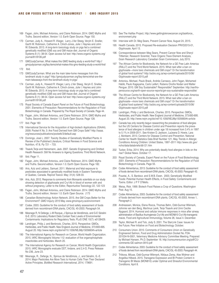- 169 Fagan, John, Michael Antoniou, and Claire Robinson. 2014. GMO Myths and Truths. Second edition, Version 1.0. Earth Open Source. Page 150.
- 170 Carman, Judy A., Howard R. Vlieger, Larry J.Ver Steeg, Veryln E. Sneller, Garth W. Robinson, Catherine A. Clinch-Jones, Julie I. Haynes and John W. Edwards. 2013. A long-term toxicology study on pigs fed a combined genetically modified (GM) soy and GM maize diet. Journal of Organic Systems 8 (1): 38-54. Open access full text: http://www.organic-systems.org/ journal/81/8106.pdf
- 171 GMOJudyCarman, What makes this GMO feeding study a world-first? http:// gmojudycarman.org/faq-items/what-makes-this-gmo-feeding-study-a-world-first/
- 172 Ibid.
- 173 GMOJudyCarman. What are the main take-home messages from this landmark study in pigs? http://gmojudycarman.org/faq-items/what-are-themain-takeaways-from-the-landmark-study-in-pigs/
- 174 Carman, Judy A., Howard R. Vlieger, Larry J.Ver Steeg, Veryln E. Sneller, Garth W. Robinson, Catherine A. Clinch-Jones, Julie I. Haynes and John W. Edwards. 2013. A long-term toxicology study on pigs fed a combined genetically modified (GM) soy and GM maize diet. Journal of Organic Systems 8 (1): 38-54. Open access full text: http://www.organic-systems.org/ journal/81/8106.pdf
- 175 Royal Society of Canada Expert Panel on the Future of Food Biotechnology. 2001. Elements of Precaution: Recommendations for the Regulation of Food Biotechnology in Canada. Prepared by The Royal Society of Canada. Page 44.
- 176 Fagan, John, Michael Antoniou, and Claire Robinson. 2014. GMO Myths and Truths. Second edition, Version 1.0. Earth Open Source. Page 128.
- 177 Ibid. Page 183
- 178 International Service for the Acquisition of Agri-biotech Applications (ISAAA). 2009. Pocket K No. 3: Are Food Derived from GM Crops Safe? http://isaaa. org/resources/publications/pocketk/3/default.asp
- 179 Domingo, José L. 2007. Toxicity Studies of Genetically Modified Plants: A Review of the Published Literature, Critical Reviews in Food Science and Nutrition, 47:8, Pp 721 – 733.
- 180 Traavik,Terje and Heinemann, Jack. 2007. Genetic Engineering and Omitted Health Research: Still No Answers to Ageing Questions. Third World Network.
- 181 Ibid. Page 11.
- 182 Fagan, John, Michael Antoniou, and Claire Robinson. 2014. GMO Myths and Truths. Second edition, Version 1.0. Earth Open Source. Page 182.
- 183 Aris, Aziz and Leblanc, Samuel. 2011. Maternal and fetal exposure to pesticides associated to genetically modified foods in Eastern Townships of Quebec, Canada. Reprod Toxicol. May; 31(4): 528-33.
- 184 Aris, Aziz. 2012. Response to comments from Monsanto scientists on our study showing detection of glyphosate and Cry1Ab in blood of women with and without pregnancy, Letter to the Editor, Reportuctive Toxicology 22, 122-123
- 185 Fagan, John, Michael Antoniou, and Claire Robinson. 2014. GMO Myths and Truths. Second edition, Version 1.0. Earth Open Source. (173
- 186 Canadian Biotechnology Action Network. 2015. Are GM Crops Better for the Environment? *GMO Inquiry 2015* May. www.gmoinquiry.ca/environment
- 187 Codex. 2003. Guideline for the conduct of food safety assessment of foods derived from recombinant-DNA plants, CAC/GL 45-2003. Paragraph 54.
- 188 Mesnage R, N Defarge, L-M Rocque, J Spiroux de Vendômois, and G-E Séralini G-E. 2015. Laboratory Rodent Diets Contain Toxic Levels of Environmental Contaminants: Implications for Regulatory Tests. PLoS ONE 10(7): e0128429.
- 189 Landrigan, Philip J. and Benbrook, Charles. 2015. Perspective: GMOs, Herbicides, and Public Health. New England Journal of Medicine, 373:693-695. August 20. http://www.nejm.org/doi/ref/10.1056/NEJMp1505660#t=article
- 190 The International Agency for Research on Cancer, World Health Organization. 2015. IARC Monographs Volume 112: evaluation of five organophosphate insecticides and herbicides. March 20.
- 191 The International Agency for Research on Cancer, World Health Organization. 2015. IARC Monographs evaluate DDT, lindane, and 2,4-D, Press Release No 236, June 23.
- 192 Mesnage, R., Defarge, N., Spiroux de Vendômois, J., and Séralini, G.-E. 2014. Major Pesticides Are More Toxic to Human Cells Than Their Declared Active Principles. *BioMed Research International, 2014*, 179691.
- 193 See The Halifax Project, http://www.gettingtoknowcancer.org/taskforce\_ environment.php
- 194 Interview with Dr. Meg Sears, Prevent Cancer Now, August 24, 2015.
- 195 Health Canada. 2015. Proposed Re-evaluation Decision PRVD2015-01, Glyphosate. April 13.
- 196 Correspondence between Meg Sears, Prevent Cancer Now and Sheryl Tittlemier, Research Scientist, Trace Organic Trace Element Analysis, Grain Research Laboratory Canadian Grain Commission, July 2015.
- 197 The African Centre for Biodiversity, the Network for a GE Free Latin America (RALLT) and the Third World Network. 2015. What next after a ban on glyphosate—more toxic chemicals and GM crops? Or the transformation of global food systems? http://acbio.org.za/wp-content/uploads/2015/06/ Glyphosate-report-2015.pdf
- Antoniou. Michael, Paulo Brack, Andrés Carrasco, John Fagan, Mohamed Habib, Paulo Kageyama, Carlo Leifert, Rubens Onofre Nodari and Walter Pengue. 2010. GM Soy Sustainable? Responsible? September. http://earthopensource.org/earth-open-source-reports/gm-soy-sustainable-responsible/
- 199 The African Centre for Biodiversity, the Network for a GE Free Latin America (RALLT) and the Third World Network. 2015. What next after a ban on glyphosate—more toxic chemicals and GM crops? Or the transformation of global food systems? http://acbio.org.za/wp-content/uploads/2015/06/ Glyphosate-report-2015.pdf
- 200 Landrigan, Philip J. and Benbrook, Charles. 2015. Perspective: GMOs, Herbicides, and Public Health. New England Journal of Medicine, 373:693-695. August 20. http://www.nejm.org/doi/ref/10.1056/NEJMp1505660#t=article
- 201 Canada has only recently begun researching the prevalence of food allergies but the US Centers for Disease Control and Prevention reports the prevalence of food allergies in children under age 18 increased from 3.4% in 1997 to 5.1% in 2009-2011. See Kristen D. Jackson, LaJeana D. Howie, Lara J. Akinbami. 2013. Centers for Disease Control and Prevention. National Center for Health Statistics Data Brief Number 121, May. Trends in Allergic Conditions Among Children: United States, 1997–2011 http://www.cdc.gov/ nchs/data/databriefs/db121.htm
- 202 Tucker, Erika. 2014. Why are potentially deadly food allergies in kids on the rise? Global News. October 17.
- 203 Royal Society of Canada, Expert Panel on the Future of Food Biotechnology. 2001. Elements of Precaution: Recommendations for the Regulation of Food Biotechnology in Canada. Page 55.
- 204 Codex Alimentarius, 2013. Guideline for the conduct of food safety assessment of foods derived from recombinant-DNA plants, CAC/GL 45-2003. Paragraph 43.
- 205 Pusztai, A., S. Bardocz. and S.W.B. Ewen. 2003. Genetically Modified Foods: Potential Human Health Effects, in Food Safety: Contaminants and Toxins. Editor: J P F D'Mello.
- 206 Weiss, Rick. 1999. Biotech Food Raises a Crop of Questions. Washington Post. Aug 15.
- 207 Codex Alimentarius, 2003. Guideline for the conduct of food safety assessment of foods derived from recombinant-DNA plants, CAC/GL 45-2003. Annex 1, Paragraph 2.
- 208 Andreassen, Monica, Elena Rocca, Thomas Bøhn, Odd-Gunnar Wikmark, Johnnie van den Berg, Martinus Løvik, Terje Traavik and Unni Cecilie Nygaard. 2014. Humoral and cellular immune responses in mice after airway administration of Bacillus thuringiensis Cry1Ab and MON810 Cry1Ab-transgenic maize, Food and Agricultural Immunology, Volume 26, Issue 4. December.
- 209 Taylor, Michael R. and Tick, Jody S. 2001. The StarLink Case: Issues for the Future. Pew Initiative on Food and Biotechnology. October.
- 210 Consumers Union. 2010. Comments of Consumers Union on Genetically Engineered Salmon, Food and Drug Administration Docket No. FDA-201034-N-0001, Veterinary Medicine Advisory Committee Meeting. Prepared by Michael Hansen, Ph.D. September 16. http://consumersunion.org/pdf/CUcomments-GE-salmon-0910.pdf
- 211 Codex Alimentarius. 2003. Guideline for the conduct of food safety assessment of foods derived from recombinant-DNA plants, CAC/GL 45-2003. Paragraph 44.
- 212 Trtikova, Miluse, Odd-Gunnar Wikmark, Niklaus Zemp, Alex Widmer and Angelika Hilbeck. 2015. Transgene Expression and Bt Protein Content in Transgenic Bt Maize (MON810) under Optimal and Stressful Environmental Conditions. April 8.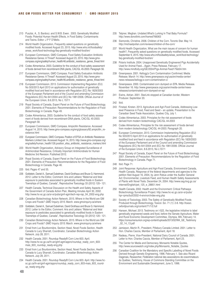- 213 Pusztai, A., S. Bardocz. and S.W.B. Ewen. 2003. Genetically Modified Foods: Potential Human Health Effects, in Food Safety: Contaminants and Toxins. Editor: J P F D'Mello.
- 214 World Health Organization, Frequently asked questions on genetically modified foods. Accessed August 23, 2015. http://www.who.int/foodsafety/ areas\_work/food-technology/faq-genetically-modified-food/en/
- 215 European Commission, GMO Compass. Food Safety Evaluation Antibiotic Resistance Genes: A Threat? Accessed August 23, 2015. http://www.gmocompass.org/eng/safety/human\_health/46.antibiotic\_resistance\_genes\_threat.html
- 216 Codex Alimentarius. 2003. Guideline for the conduct of food safety assessment of foods derived from recombinant-DNA plants, CAC/GL 45-2003. Paragraph 56.
- 217 European Commission, GMO Compass. Food Safety Evaluation Antibiotic Resistance Genes: A Threat? Accessed August 23, 2015. http://www.gmocompass.org/eng/safety/human\_health/46.antibiotic\_resistance\_genes\_threat.html
- 218 European Commission. 2013. Commission Implementing Regulation (EU) No 503/2013 April 2013 on applications for authorisation of genetically modified food and feed in accordance with Regulation (EC) No 1829/2003 of the European Parliament and of the Council and amending Commission Regulations (EC) No 641/2004 and (EC) No 1981/2006. Official Journal of the European Union, 8.6.2013, No L 157/1
- 219 Royal Society of Canada, Expert Panel on the Future of Food Biotechnology. 2001. Elements of Precaution: Recommendations for the Regulation of Food Biotechnology in Canada. Page 49.
- 220 Codex Alimentarius, 2003. Guideline for the conduct of food safety assessment of foods derived from recombinant-DNA plants, CAC/GL 45-2003. Paragraph 58.
- 221 European Commission, GMO Compass. Ampicillin Resistance. Accessed August 14, 2015. http://www.gmo-compass.org/eng/glossary/82.ampicillin\_resistance.html
- 222 European Commission, GMO Compass. Position of EFSA on Antibiotic Resistance Markers Limited Use. Accessed August 14, 2015. http://www.gmo-compass.org/ eng/safety/human\_health/126.position\_efsa\_antibiotic\_resistance\_markers.html
- 223 World Health Organization, Advisory Group on Integrated Surveillance of Antimicrobial Resistance, Critically Important Antimicrobials for Human Medicine 3rd Revision. Published 2012.
- 224 Royal Society of Canada, Expert Panel on the Future of Food Biotechnology. 2001. Elements of Precaution: Recommendations for the Regulation of Food Biotechnology in Canada. Page 46.
- 225 Ibid. Pages 47 and 55.
- 226 Goldstein, Daniel A., Samuel Dubelman, David Grothaus and Bruce G. Hammond. 2012. Letter to the Editor, Comment: Aris and Leblanc "Maternal and fetal exposure to pesticides associated to genetically modified foods in Eastern Townships of Quebec, Canada", Reproductive Toxicology 33 (2012) 120– 121.
- 227 Health Canada, Technical Discussion on the Health and Safety Aspects of the Government of Canada Action Plan, Meeting minutes April 30, 2002. http://www.hc-sc.gc.ca/sr-sr/pubs/gmf-agm/tech-rep-rap\_04\_2002-eng.php
- 228 Canadian Biotechnology Action Network. 2015. Where in the World are GM Crops and Foods? *GMO Inquiry 2015*. March. www.gmoinquiry.ca/where
- 229 Goldstein, Daniel A., Samuel Dubelman, David Grothaus and Bruce G. Hammond. 2012. Letter to the Editor, Comment: Aris and Leblanc "Maternal and fetal exposure to pesticides associated to genetically modified foods in Eastern Townships of Quebec, Canada", Reproductive Toxicology 33 (2012) 120– 121.
- 230 Canadian Biotechnology Action Network. 2015. Where in the World are GM Crops and Foods? *GMO Inquiry 2015*. March. www.gmoinquiry.ca/where
- 231 Email from Luc Bourbonnière, Section Head, Novel Foods Section, Health Canada to Lucy Sharratt, Coordinator, Canadian Biotechnology Action Network. July 28, 2011.
- 232 Health Canada. 2001. Roundup Ready® Corn Line 603. April. http://www.hc-sc.gc.ca/fn-an/gmf-agm/appro/roundup\_ready\_corn\_603 mais\_603\_roundup\_ready-eng.php
- 233 Email from Luc Bourbonnière, Section Head, Novel Foods Section, Health Canada to Lucy Sharratt, Coordinator, Canadian Biotechnology Action Network. July 28, 2011.
- 234 Health Canada. 2001. Roundup Ready® Corn Line 603. April. http://www.hcsc.gc.ca/fn-an/gmf-agm/appro/roundup\_ready\_corn\_603-mais\_603\_roundup\_ready-eng.php
- 235 Telpner, Meghan. Undated.What's Lurking In That Baby Formula? http://www.donotlink.com/framed?66063
- 236 Sismondo, Christine. 2006. Children of the Corn. Toronto Star. May 14. http://michaelpollan.com/reviews/children-of-the-corn/
- 237 World Health Organization, What are the main issues of concern for human health?, Frequently asked questions on genetically modified foods. Accessed September 9, 2015. http://www.who.int/foodsafety/areas\_work/food-technology/ faq-genetically-modified-food/en/
- 238 Polaris Institute. 2004. Unapproved Genetically Engineered Pigs Accidentally Used for Animal Feed....Again. Press Release. February 17. http://www.mindfully.org/GE/2004/Pigs-Animal-Feed17feb04.htm
- 239 Greenpeace. 2001. Kellogg's Corn Contamination Confirmed. Media Release. March 14. http://www.greenpeace.org/usa/en/media-center/ news-releases/kellogg-s-corn-contamination-c/
- 240 Greenpeace. 2000. Contaminated corn dumped on EPA. Media Release. November 16. http://www.greenpeace.org/usa/en/media-center/newsreleases/contaminated-corn-dumped-on-ep/
- 241 Ewins, Adrian. 2001. StarLink stopped at Canadian border, Western Producer. September 20.
- 242 Ibid.
- 243 Finstad, Kirsten. 2013. Agriculture and Agri-Food Canada, Addressing Lowlevel Presence in Food, Feed and Seed – an update, Presentation to the Canadian Seed Trade Association, Quebec City, July 1.
- 244 Codex Alimentarius. 2003. Principles for the risk assessment of foods derived from modern biotechnology CAC/GL 44-2003
- 245 Codex Alimentarius, Principles for the risk assessment of foods derived from modern biotechnology CAC/GL 44-2003. Paragraph 20.
- 246 European Commission. 2013. Commission Implementing Regulation (EU) No 503/2013 April 2013 on applications for authorisation of genetically modified food and feed in accordance with Regulation (EC) No 1829/2003 of the European Parliament and of the Council and amending Commission Regulations (EC) No 641/2004 and (EC) No 1981/2006. Official Journal of the European Union, 8.6.2013, No L157/1
- 247 Royal Society of Canada, Expert Panel on the Future of Food Biotechnology. 2001. Elements of Precaution: Recommendations for the Regulation of Food Biotechnology in Canada. Page 71.
- 248 Ibid. Page 71.
- 249 Joint Response: Agriculture and Agri-Food Canada, Environment Canada, Health Canada, Response of the federal departments and agencies to the petition filed August 16, 2004, by Jenn Robus under the Auditor General Act: Environmental, Livestock Feed, and Human Health Safety Assessments of Plants with Novel Traits. December 24, 2004. http://www.oag-bvg.gc.ca/ internet/English/pet\_125\_e\_28851.html
- 250 Health Canada. 2002. Health and the Environment: Critical Pathways Biotechnology Surveillance Project. http://www.hc-sc.gc.ca/sr-sr/pubs/ hpr-rpms/bull/2002-4-environ/index-eng.php
- Society of Toxicology. 2003. The Safety of Genetically Modified Foods Produced through Biotechnology, Toxicol. Sci. 71 (1): 2-8. http://toxsci. oxfordjournals.org/content/71/1/2.full
- 252 Hansen, Michael. 2013. Testimony on I-522, the legislative initiative to label genetically engineered seeds and food, before the Senate Agriculture, Water and Rural Economic Development Committee, Olympia, WA. February 14. https://consumersunion.org/wp-content/uploads/2013/02/WA\_GE\_Testimony \_02\_14\_13.pdf
- 253 Jamieson, Martin R., President, Pillsbury Canada Limited. 2001. Letter to Hon. Charles Caccia, Member of Parliament, April 18.
- 254 Nadeau, Pierre, Vice-President, National Dairy Council of Canada. 2001. Letter to Hon. Charles Caccia, Member of Parliament, April 23.
- 255 The Center for Media and Democracy. Monsanto Notable Quotes, http://www.sourcewatch.org/index.php/Monsanto\_Notable\_Quotes
- 256 Canadian Coalition for the Mandatory and Specific Labelling of Novel Foods Derived through Genetic Engineering, 1996. February 1. See also Ricard Dagenais, Researcher, Fédération national des associations de cosommateurs du Québec, Testimony, House of Commons Standing Committee on the Environment and Sustainable Development, June 5, 1996.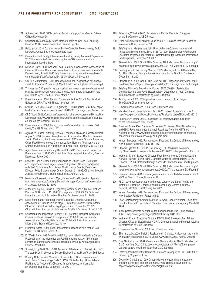- 257 Aubrey, Jack. 2003. \$13M polishes biotech image, critics charge, Ottawa Citizen November 24.
- 258 Canadian Biotechnology Action Network, Polls on GM Food Labelling. Canada. 1994-Present. www.cban.ca/labellingpolls
- 259 Reid, Ipsos. 2015. Commissioned by the Canadian Biotechnology Action Network, August. See www.cban.ca/2015poll
- 260 Centre for Food Safety, International Labeling Laws, Accessed September 7 2015. www.centerforfoodsafety.org/issues/976/ge-food-labeling/ international-labeling-laws
- 261 Mitchler, Chris, Chair, National Food Committee, Consumers' Association of Canada, House of Commons Committee on Environment and Sustainable Development, June 5, 1996. http://www.parl.gc.ca/content/hoc/archives/ committee/352/sust/evidence/24\_96-06-05/sust24\_blk-e.html
- 262 CBC TV Marketplace. 2002. Does the Consumer Association of Canada speak for Canadians? Transcript. March 6. http://www.duplisea.ca/cbc-cac.pdf
- 263 This was the CAC position as summarized in a government interdepartmental briefing. See Freeman, Aaron. 2003. Feds, consumers' association help market GM foods. The Hill Times, March 17.
- 264 Freeman, Aaron. 2001. Federal Government's Pro-Biotech Bias is Most Evident at CFIA, The Hill Times. November 19.
- 265 Stewart, Lyle. 2002. Good PR is growing. THIS Magazine. May/June. http:// healthcoalition.ca/wp-content/uploads/2010/02/This-Magazine-GM-Food.pdf
- 266 CBC News. 2003. Consumers' Association changes course on GM labelling, December. http://www.cbc.ca/news/canada/consumers-association-changescourse-on-gm-labelling-1.398302
- 267 Freeman, Aaron. 2003. Feds, consumers' association help market GM foods, The Hill Times, March 17.
- 268 Agriculture Canada, Authority Request, Food Production and Inspection Branch, August 1, 1996. Obtained through Access to Information, Bradford Duplesea. July 9, 2001. And, that it was developed with FBCN see: Gordon Surgeoner, Chair, Food Biotechnology Communications Network, Testimony to the Standing Committee on Agriculture and Agri-Food, Tuesday May 12, 1998.
- 269 Agriculture Canada, Authority Request, Food Production and Inspection Branch, August 1, 1996. Obtained through Access to Information, Bradford Duplesea. July 9, 2001.
- 270 Letter to Donald Biloean, Material Servicies Officer, Food Production and Inspection Branch, Agriculture and Agri-Food Canada from [name redacted] Consumers Association. Cc'd to Joyce Groote, Executive Director, Food Biotechnology Centre. October 21, 1996. Obtained through Access to Information, Bradford Duplesea. June 21, 2001.
- 271 Memo and Invoice to Jo Ann Myer, Canadian Food Inspection Agency from [name redacted], Acting General Manager, Consumers' Association of Canada, January 12, 1999
- 272 Authority Request, Public & Regulatory Affairs/Issues & Media Relations Division, CFIA. March 13, 2000. For payment of \$16,562.65. Obtained through Access to Information, Bradford Duplesea. June 21, 2001.
- 273 Letter from [name redacted], Interim Executive Director, Consumers Association of Canada Jo Ann Meyer, Executive Director, Public Affairs CFIA Re: CAC-CFIA Partnership Opportunities, November 2 1999. Obtained through Access to Information, Bradford Duplesea. June 21, 2001.
- 274 Canadian Food Inspection Agency. 2001. Authority Request, Corporate Communications Division, For payment of \$1920 to the Consumers Association of Canada, date redacted. Obtained through Access to Information, Bradford Duplesea. July 9.
- 275 Freeman, Aaron. 2003. Feds, consumers' association help market GM foods, The Hill Times, March 17.
- 276 Dr. Welsh, Frank. 1993. Scientific and Policy Liason, Health and Welfare Canada, Proceedings of the Workshop on Food Biotechnology, An information session to increase awareness of food biotechnology within Agriculture Canada, March 29.
- 277 Sharratt, Lucy. 2001. No to BGH: Ten Years of Resistance, in Redesigning Life?: The Worldwide Challenge to Genetic Engineering, ed. Brian Tokar, Zed Books.
- 278 Briefing Note, Minister Vanclief's Roundtable on Communications and Agricultural Biotechnology, BNM 015670. "Biotechnology Roundtable – Facilitated by [redacted]". Obtained through Access to Information by Bradford Dupelsea, December 13, 2001.
- 279 Peekhaus, Wilhelm. 2013. Resistance is Fertile: Canadian Struggles on the BioCommons. UBC Press.
- 280 Opening Remarks for Minister Vanclief. 2001. Obtained through Access to Information Brad, December 13.
- 281 Briefing Note, Minister Vanclief's Roundtable on Communications and Agricultural Biotechnology, BNM 015670. 1999. Biotechnology Roundtable – Facilitated by [redacted]. March 31. Obtained through Access to Information Brad Dupelsea. December 13, 2001.
- 282 Stewart, Lyle. 2002. Good PR is Growing. THIS Magazine. May/June. http:// healthcoalition.ca/wp-content/uploads/2010/02/This-Magazine-GM-Food.pdf
- 283 Briefing Note to the Deputy Minister. 1999. Meeting with BioteCanada May 7, 1999. Obtained through Access to Information by Bradford Duplesea, December 13, 2001.
- 284 Stewart, Lyle. 2002. Good PR is Growing. THIS Magazine. May/June. http:// healthcoalition.ca/wp-content/uploads/2010/02/This-Magazine-GM-Food.pdf
- 285 Briefing, Minister's Roundtable, Ottawa. BNM 020489. "Stakeholder Communications and Food Biotechnology" December 6, 1999. Obtained through Access to Information by Brad Duplesea.
- 286 Aubrey, Jack. 2003. \$13M polishes biotech image, critics charge. The Ottawa Citizen November 24.
- 287 Government of Canada. 2000. Food Safety and You.
- Minister of Agriculture, Lyle Vanclief. 2000. House of Commons. May 2. http://www.parl.gc.ca/HousePublications/Publication.aspx?DocId=2332210
- 289 Peekhaus, Wilhelm. 2013. Resistance Is Fertile: Canadian Struggles on the BioCommons. UBC Press.
- 290 Freeman, Aaron. 2001. Canadian Consumers Concerned About Biotechnology and GMO Food. Watershed Sentinel, Reprinted from the Hill Times, November. http://www.watershedsentinel.ca/content/canadian-consumersconcerned-about-biotechnology-and-gmo-food
- Kneen, Brewster. 1999. Farmageddon: Food and the Culture of Biotechnology. New Society Publishers. Page 151-152.
- 292 Stewart, Lyle. 2002. Good PR is Growing. THIS Magazine. May/June. http://healthcoalition.ca/wp-content/uploads/2010/02/This-Magazine-GM-Food.pdf
- 293 Weherall, Diane, Executive Director, Food Biotechnology Communications Network, Invoice to Bart Bilmer, Director, Office of Biotechnology, CFIA, October 2, 2000. Obtained through Access to Information by Brad Duplesea.
- 294 Stewart, Lyle. 2002. Good PR is Growing. THIS Magazine. May/June. http:// healthcoalition.ca/wp-content/uploads/2010/02/This-Magazine-GM-Food.pdf
- 295 Freeman, Aaron. 2001. Federal government's pro-biotech bias most evident at CFIA, The Hill Times, November 19.
- 296 FBCN gave honest portrait of GM foods, Letter ot the Editor from Diane Wetherall, Executive Director, Food Biotechnology Communications Network, Montreal Gazette, July 24, 2001
- 297 Kneen, Brewster. 1999. Farmageddon: Food and the Culture of Biotechnology. New Society Publishers. Pages 151-2.
- 298 Food Biotechnology Communications Network, Diane Wetherall, Executive Director. Invoice to Bart Bilmer, Canadian Food Inspection Agency. March 31. 1999.
- 299 1999. Safety activists want labels for modified foods. The Globe and Mail. July 13. http://www.gene.ch/genet/1999/Jul/msg00040.html
- 300 Weherall, Diane, Executive Director, FBCN. 2000. Invoice to Bart Bilmer, Director, Office of Biotechnology, CFIA, October 2. Obtained through Access to Information by Brad Duplesea.
- 301 Government of Canada. 2000. Food Safety and You.
- 302 Sharratt, Lucy. 2000. Building Resistance in Canada: A View from the North Synthesis/Regeneration 23. Fall. http://www.greens.org/s-r/23/23-20.html
- 303 FoodNavigator.com 2001. Greenpeace Canada attacks Health Minister over GMO labelling. Oct 30. http://www.foodnavigator.com/Policy/Greenpeace-Canada-attacks-health-minister-over-GMO-labelling
- 304 Letter to Members of the House of Commons in support of Bill C-287. 2001. Signed by 82 groups. June.
- 305 Council of Canadians. 1999. Groups denounce government inaction on labelling genetically engineered foods. Press Release. November 16. http://www.gene.ch/genet/1999/Nov/msg00046.html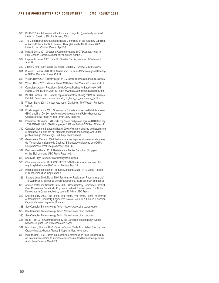- 306 Bill C-287, An Act to amend the Food and Drugs Act (genetically modified food), 1st Session, 37th Parliament, 2001.
- 307 The Canadian General Standards Board Committee on the Voluntary Labelling of Foods Obtained or Not Obtained Through Genetic Modification. 2001. Letter to Hon. Charles Caccia, April 30.
- 308 Inrig, Eileen. 2001. Director of Communications, BIOTECanada, letter to Hon. Charles Caccia, Member of Parliament, April 20.
- 309 Hepworth, Lorne. 2001. Email to Charles Caccia, Member of Parliament. April 18.
- 310 Jaimert, Kate. 2001. Label GM Foods: Liberal MP. Ottawa Citizen. May 6.
- 311 Bueckert, Dennis. 2001. Rock Absent from House as MPs vote against labelling of GMOs, Canadian Press. Oct 17.
- 312 Wilson, Barry. 2001. Closet vote yet on GM labels, The Western Producer. Oct 25.
- 313 Wilson, Barry. 2001. Cabinet split on GMO labels. The Western Producer. Oct 11.
- 314 Canadians Against Pesticides. 2001. Caccia Pushes for Labelling of GM Foods. CAPS Bulletin, April 13. http://www.caps.20m.com/cacciagmbill.htm
- 315 INFACT Canada. 2001. Rock flip flops on mandatory labeling of GMOs. Summer/ Fall. http://www.infactcanada.ca/rock\_flip\_flops\_on\_mandatory\_\_la.htm
- 316 Wilson, Barry. 2001. Closest vote yet on GM labels, The Western Producer. Oct 25.
- 317 FoodNavigator.com 2001. Greenpeace Canada attacks Health Minister over GMO labelling. Oct 30. http://www.foodnavigator.com/Policy/Greenpeace-Canada-attacks-health-minister-over-GMO-labelling
- 318 Parliament of Canada, Bill C-220. http://www.parl.gc.ca/LegisInfo/BillDetails.asp x?Bill=C220&billId=510260&Language=E&Mode=2&Parl=37&Ses=2&View=4
- 319 Canadian General Standards Board. 2004. Voluntary labelling and advertising of foods that are and are not products of genetic engineering. April. http:// publications.gc.ca/site/eng/9.540664/publication.html
- 320 Greenpeace Canada. 2006. Lettre a tous les deputes et toutes les deputees de l'Assemblee nationale du Quebec: "Ethiquetage obligatoire des OGM: Une promesse, c'est une promesse." April 26.
- 321 Peekhaus, Wilhelm. 2013. Resistance Is Fertile: Canadian Struggles on the BioCommons. UBC Press. Page 109.
- 322 See Kids Right to Know, www.kidsrighttoknow.com
- 323 Chaussee, Jennifer. 2014. CORRECTED-California lawmakers reject bill requiring labeling on GMO foods. Reuters. May 28.
- 324 International Federation of Produce Standards. 2015. IFPS Media Release: PLU code transition. September 3
- 325 Sharratt, Lucy. 2001. No to BGH: Ten Years of Resistance, Redesigning Life?: The Worldwide Challenge to Genetic Engineering, ed. Brian Tokar, Zed Books.
- 326 Andree, Peter and Sharratt, Lucy. 2009. Unsatisfactory Democracy: Conflict Over Monsanto's Genetically Engineered Wheat. Environmental Conflict and Democracy in Canada edited by Laurie E. Adkin. UBC Press.
- 327 Sharratt, Lucy. 2003. One Potato, Two Potato, Five Potato, None: The Demise of Monsanto's Genetically Engineered Potato. EcoFarm & Garden. Canadian Organic Growers magazine. Summer.
- 328 See Canadian Biotechnology Action Network www.cban.ca/enviropig
- 329 See Canadian Biotechnology Action Network www.cban.ca/alfalfa
- 330 See Canadian Biotechnology Action Network www.cban.ca/corn
- 331 Ipsos Reid. 2015. Commissioned by the Canadian Biotechnology Action Network, August. See www.cban.ca/2015poll
- 332 MacKinnon, Shauna. 2013. Canada Organic Trade Association. The National Organic Market Growth, Trends & Opportunities. November.
- 333 Ingratta, Bob. 1993. Quoted in proceedings: Workshop on Food Biotechnology, An information session to increase awareness of food biotechnology within Agriculture Canada, March 29.